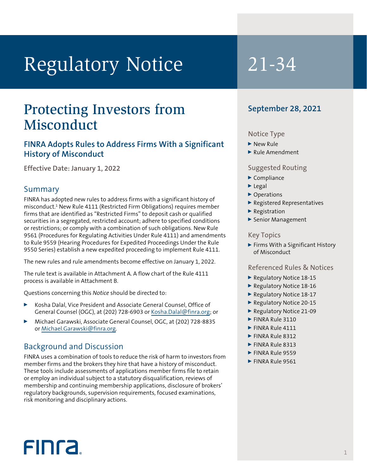# Regulatory Notice 21-34

# Protecting Investors from Misconduct

# **FINRA Adopts Rules to Address Firms With a Significant History of Misconduct**

**Effective Date: January 1, 2022**

# Summary

FINRA has adopted new rules to address firms with a significant history of misconduct.1 New Rule 4111 (Restricted Firm Obligations) requires member firms that are identified as "Restricted Firms" to deposit cash or qualified securities in a segregated, restricted account; adhere to specified conditions or restrictions; or comply with a combination of such obligations. New Rule 9561 (Procedures for Regulating Activities Under Rule 4111) and amendments to Rule 9559 (Hearing Procedures for Expedited Proceedings Under the Rule 9550 Series) establish a new expedited proceeding to implement Rule 4111.

The new rules and rule amendments become effective on January 1, 2022.

The rule text is available in Attachment A. A flow chart of the Rule 4111 process is available in Attachment B.

Questions concerning this *Notice* should be directed to:

- Kosha Dalal, Vice President and Associate General Counsel, Office of General Counsel (OGC), at (202) 728-6903 or [Kosha.Dalal@finra.org](mailto:Kosha.Dalal@finra.org); or
- <sup>0</sup> Michael Garawski, Associate General Counsel, OGC, at (202) 728-8835 or [Michael.Garawski@finra.org](mailto:Michael.Garawski@finra.org).

# Background and Discussion

FINRA uses a combination of tools to reduce the risk of harm to investors from member firms and the brokers they hire that have a history of misconduct. These tools include assessments of applications member firms file to retain or employ an individual subject to a statutory disqualification, reviews of membership and continuing membership applications, disclosure of brokers' regulatory backgrounds, supervision requirements, focused examinations, risk monitoring and disciplinary actions.

# **September 28, 2021**

## Notice Type

- $\blacktriangleright$  New Rule
- $\blacktriangleright$  Rule Amendment

## Suggested Routing

- $\blacktriangleright$  Compliance
- $\blacktriangleright$  Legal
- ▶ Operations
- ▶ Registered Representatives
- $\blacktriangleright$  Registration
- ▶ Senior Management

## Key Topics

▶ Firms With a Significant History of Misconduct

## Referenced Rules & Notices

- ▶ Regulatory Notice 18-15
- Regulatory Notice 18-16
- ▶ Regulatory Notice 18-17
- Regulatory Notice 20-15
- ▶ Regulatory Notice 21-09
- FINRA Rule 3110
- $\blacktriangleright$  FINRA Rule 4111
- $\blacktriangleright$  FINRA Rule 8312
- $\blacktriangleright$  FINRA Rule 8313
- $\blacktriangleright$  FINRA Rule 9559
- $\blacktriangleright$  FINRA Rule 9561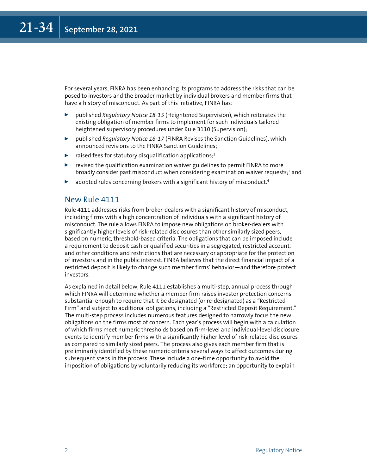For several years, FINRA has been enhancing its programs to address the risks that can be posed to investors and the broader market by individual brokers and member firms that have a history of misconduct. As part of this initiative, FINRA has:

- <sup>0</sup> published *Regulatory Notice 18-15* (Heightened Supervision), which reiterates the existing obligation of member firms to implement for such individuals tailored heightened supervisory procedures under Rule 3110 (Supervision);
- ▶ published *Regulatory Notice 18-17* (FINRA Revises the Sanction Guidelines), which announced revisions to the FINRA Sanction Guidelines;
- $\blacktriangleright$  raised fees for statutory disqualification applications;<sup>2</sup>
- revised the qualification examination waiver guidelines to permit FINRA to more broadly consider past misconduct when considering examination waiver requests; $3$  and
- adopted rules concerning brokers with a significant history of misconduct.<sup>4</sup>

## New Rule 4111

Rule 4111 addresses risks from broker-dealers with a significant history of misconduct, including firms with a high concentration of individuals with a significant history of misconduct. The rule allows FINRA to impose new obligations on broker-dealers with significantly higher levels of risk-related disclosures than other similarly sized peers, based on numeric, threshold-based criteria. The obligations that can be imposed include a requirement to deposit cash or qualified securities in a segregated, restricted account, and other conditions and restrictions that are necessary or appropriate for the protection of investors and in the public interest. FINRA believes that the direct financial impact of a restricted deposit is likely to change such member firms' behavior—and therefore protect investors.

As explained in detail below, Rule 4111 establishes a multi-step, annual process through which FINRA will determine whether a member firm raises investor protection concerns substantial enough to require that it be designated (or re-designated) as a "Restricted Firm" and subject to additional obligations, including a "Restricted Deposit Requirement." The multi-step process includes numerous features designed to narrowly focus the new obligations on the firms most of concern. Each year's process will begin with a calculation of which firms meet numeric thresholds based on firm-level and individual-level disclosure events to identify member firms with a significantly higher level of risk-related disclosures as compared to similarly sized peers. The process also gives each member firm that is preliminarily identified by these numeric criteria several ways to affect outcomes during subsequent steps in the process. These include a one-time opportunity to avoid the imposition of obligations by voluntarily reducing its workforce; an opportunity to explain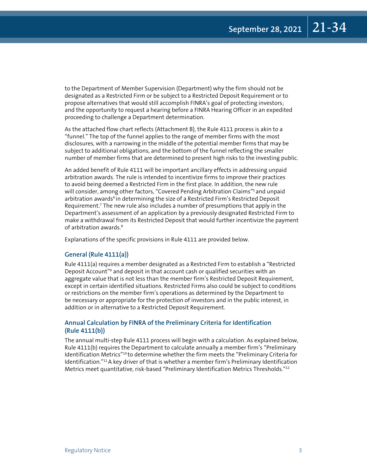to the Department of Member Supervision (Department) why the firm should not be designated as a Restricted Firm or be subject to a Restricted Deposit Requirement or to propose alternatives that would still accomplish FINRA's goal of protecting investors; and the opportunity to request a hearing before a FINRA Hearing Officer in an expedited proceeding to challenge a Department determination.

As the attached flow chart reflects (Attachment B), the Rule 4111 process is akin to a "funnel." The top of the funnel applies to the range of member firms with the most disclosures, with a narrowing in the middle of the potential member firms that may be subject to additional obligations, and the bottom of the funnel reflecting the smaller number of member firms that are determined to present high risks to the investing public.

An added benefit of Rule 4111 will be important ancillary effects in addressing unpaid arbitration awards. The rule is intended to incentivize firms to improve their practices to avoid being deemed a Restricted Firm in the first place. In addition, the new rule will consider, among other factors, "Covered Pending Arbitration Claims"<sup>5</sup> and unpaid arbitration awards<sup>6</sup> in determining the size of a Restricted Firm's Restricted Deposit Requirement.7 The new rule also includes a number of presumptions that apply in the Department's assessment of an application by a previously designated Restricted Firm to make a withdrawal from its Restricted Deposit that would further incentivize the payment of arbitration awards.8

Explanations of the specific provisions in Rule 4111 are provided below.

## **General (Rule 4111(a))**

Rule 4111(a) requires a member designated as a Restricted Firm to establish a "Restricted Deposit Account"<sup>9</sup> and deposit in that account cash or qualified securities with an aggregate value that is not less than the member firm's Restricted Deposit Requirement, except in certain identified situations. Restricted Firms also could be subject to conditions or restrictions on the member firm's operations as determined by the Department to be necessary or appropriate for the protection of investors and in the public interest, in addition or in alternative to a Restricted Deposit Requirement.

## **Annual Calculation by FINRA of the Preliminary Criteria for Identification (Rule 4111(b))**

The annual multi-step Rule 4111 process will begin with a calculation. As explained below, Rule 4111(b) requires the Department to calculate annually a member firm's "Preliminary Identification Metrics"10 to determine whether the firm meets the "Preliminary Criteria for Identification."<sup>11</sup> A key driver of that is whether a member firm's Preliminary Identification Metrics meet quantitative, risk-based "Preliminary Identification Metrics Thresholds."12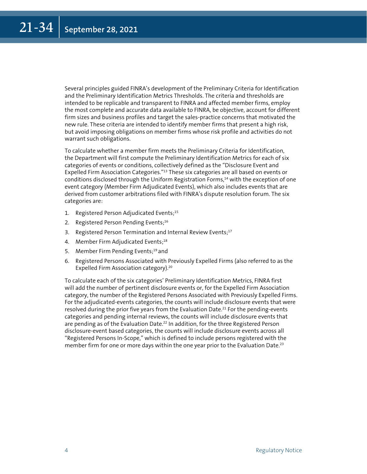Several principles guided FINRA's development of the Preliminary Criteria for Identification and the Preliminary Identification Metrics Thresholds. The criteria and thresholds are intended to be replicable and transparent to FINRA and affected member firms, employ the most complete and accurate data available to FINRA, be objective, account for different firm sizes and business profiles and target the sales-practice concerns that motivated the new rule. These criteria are intended to identify member firms that present a high risk, but avoid imposing obligations on member firms whose risk profile and activities do not warrant such obligations.

To calculate whether a member firm meets the Preliminary Criteria for Identification, the Department will first compute the Preliminary Identification Metrics for each of six categories of events or conditions, collectively defined as the "Disclosure Event and Expelled Firm Association Categories."13 These six categories are all based on events or conditions disclosed through the Uniform Registration Forms, $14$  with the exception of one event category (Member Firm Adjudicated Events), which also includes events that are derived from customer arbitrations filed with FINRA's dispute resolution forum. The six categories are:

- 1. Registered Person Adjudicated Events;<sup>15</sup>
- 2. Registered Person Pending Events;<sup>16</sup>
- 3. Registered Person Termination and Internal Review Events;<sup>17</sup>
- 4. Member Firm Adjudicated Events;<sup>18</sup>
- 5. Member Firm Pending Events;<sup>19</sup> and
- 6. Registered Persons Associated with Previously Expelled Firms (also referred to as the Expelled Firm Association category).20

To calculate each of the six categories' Preliminary Identification Metrics, FINRA first will add the number of pertinent disclosure events or, for the Expelled Firm Association category, the number of the Registered Persons Associated with Previously Expelled Firms. For the adjudicated-events categories, the counts will include disclosure events that were resolved during the prior five years from the Evaluation Date.<sup>21</sup> For the pending-events categories and pending internal reviews, the counts will include disclosure events that are pending as of the Evaluation Date.<sup>22</sup> In addition, for the three Registered Person disclosure-event based categories, the counts will include disclosure events across all "Registered Persons In-Scope," which is defined to include persons registered with the member firm for one or more days within the one year prior to the Evaluation Date.<sup>23</sup>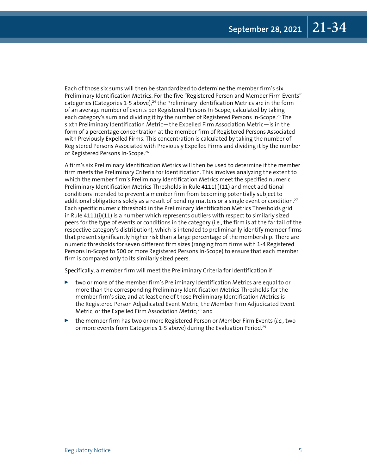Each of those six sums will then be standardized to determine the member firm's six Preliminary Identification Metrics. For the five "Registered Person and Member Firm Events" categories (Categories 1-5 above),<sup>24</sup> the Preliminary Identification Metrics are in the form of an average number of events per Registered Persons In-Scope, calculated by taking each category's sum and dividing it by the number of Registered Persons In-Scope.<sup>25</sup> The sixth Preliminary Identification Metric—the Expelled Firm Association Metric—is in the form of a percentage concentration at the member firm of Registered Persons Associated with Previously Expelled Firms. This concentration is calculated by taking the number of Registered Persons Associated with Previously Expelled Firms and dividing it by the number of Registered Persons In-Scope.26

A firm's six Preliminary Identification Metrics will then be used to determine if the member firm meets the Preliminary Criteria for Identification. This involves analyzing the extent to which the member firm's Preliminary Identification Metrics meet the specified numeric Preliminary Identification Metrics Thresholds in Rule 4111(i)(11) and meet additional conditions intended to prevent a member firm from becoming potentially subject to additional obligations solely as a result of pending matters or a single event or condition.<sup>27</sup> Each specific numeric threshold in the Preliminary Identification Metrics Thresholds grid in Rule 4111(i)(11) is a number which represents outliers with respect to similarly sized peers for the type of events or conditions in the category (i.e., the firm is at the far tail of the respective category's distribution), which is intended to preliminarily identify member firms that present significantly higher risk than a large percentage of the membership. There are numeric thresholds for seven different firm sizes (ranging from firms with 1-4 Registered Persons In-Scope to 500 or more Registered Persons In-Scope) to ensure that each member firm is compared only to its similarly sized peers.

Specifically, a member firm will meet the Preliminary Criteria for Identification if:

- $\triangleright$  two or more of the member firm's Preliminary Identification Metrics are equal to or more than the corresponding Preliminary Identification Metrics Thresholds for the member firm's size, and at least one of those Preliminary Identification Metrics is the Registered Person Adjudicated Event Metric, the Member Firm Adjudicated Event Metric, or the Expelled Firm Association Metric;<sup>28</sup> and
- <sup>0</sup> the member firm has two or more Registered Person or Member Firm Events (*i.e.,* two or more events from Categories 1-5 above) during the Evaluation Period.<sup>29</sup>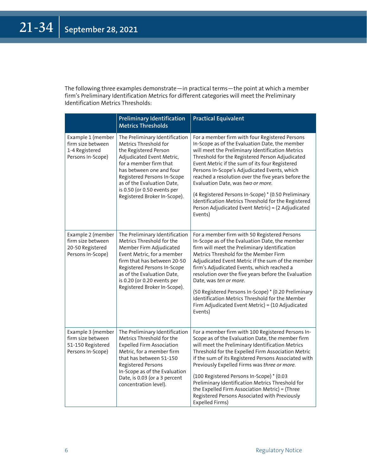The following three examples demonstrate—in practical terms—the point at which a member firm's Preliminary Identification Metrics for different categories will meet the Preliminary Identification Metrics Thresholds:

|                                                                                  | <b>Preliminary Identification</b><br><b>Metrics Thresholds</b>                                                                                                                                                                                                                                  | <b>Practical Equivalent</b>                                                                                                                                                                                                                                                                                                                                                                                                                                                                                                                                                         |
|----------------------------------------------------------------------------------|-------------------------------------------------------------------------------------------------------------------------------------------------------------------------------------------------------------------------------------------------------------------------------------------------|-------------------------------------------------------------------------------------------------------------------------------------------------------------------------------------------------------------------------------------------------------------------------------------------------------------------------------------------------------------------------------------------------------------------------------------------------------------------------------------------------------------------------------------------------------------------------------------|
| Example 1 (member<br>firm size between<br>1-4 Registered<br>Persons In-Scope)    | The Preliminary Identification<br>Metrics Threshold for<br>the Registered Person<br>Adjudicated Event Metric,<br>for a member firm that<br>has between one and four<br>Registered Persons In-Scope<br>as of the Evaluation Date,<br>is 0.50 (or 0.50 events per<br>Registered Broker In-Scope). | For a member firm with four Registered Persons<br>In-Scope as of the Evaluation Date, the member<br>will meet the Preliminary Identification Metrics<br>Threshold for the Registered Person Adjudicated<br>Event Metric if the sum of its four Registered<br>Persons In-Scope's Adjudicated Events, which<br>reached a resolution over the five years before the<br>Evaluation Date, was two or more.<br>(4 Registered Persons In-Scope) * (0.50 Preliminary<br>Identification Metrics Threshold for the Registered<br>Person Adjudicated Event Metric) = (2 Adjudicated<br>Events) |
| Example 2 (member<br>firm size between<br>20-50 Registered<br>Persons In-Scope)  | The Preliminary Identification<br>Metrics Threshold for the<br>Member Firm Adjudicated<br>Event Metric, for a member<br>firm that has between 20-50<br>Registered Persons In-Scope<br>as of the Evaluation Date,<br>is 0.20 (or 0.20 events per<br>Registered Broker In-Scope).                 | For a member firm with 50 Registered Persons<br>In-Scope as of the Evaluation Date, the member<br>firm will meet the Preliminary Identification<br>Metrics Threshold for the Member Firm<br>Adjudicated Event Metric if the sum of the member<br>firm's Adjudicated Events, which reached a<br>resolution over the five years before the Evaluation<br>Date, was ten or more.<br>(50 Registered Persons In-Scope) * (0.20 Preliminary<br>Identification Metrics Threshold for the Member<br>Firm Adjudicated Event Metric) = $(10 \text{ Adjudicated})$<br>Events)                  |
| Example 3 (member<br>firm size between<br>51-150 Registered<br>Persons In-Scope) | The Preliminary Identification<br>Metrics Threshold for the<br><b>Expelled Firm Association</b><br>Metric, for a member firm<br>that has between 51-150<br>Registered Persons<br>In-Scope as of the Evaluation<br>Date, is 0.03 (or a 3 percent<br>concentration level).                        | For a member firm with 100 Registered Persons In-<br>Scope as of the Evaluation Date, the member firm<br>will meet the Preliminary Identification Metrics<br>Threshold for the Expelled Firm Association Metric<br>if the sum of its Registered Persons Associated with<br>Previously Expelled Firms was three or more.<br>(100 Registered Persons In-Scope) * (0.03<br>Preliminary Identification Metrics Threshold for<br>the Expelled Firm Association Metric) = (Three<br>Registered Persons Associated with Previously<br>Expelled Firms)                                      |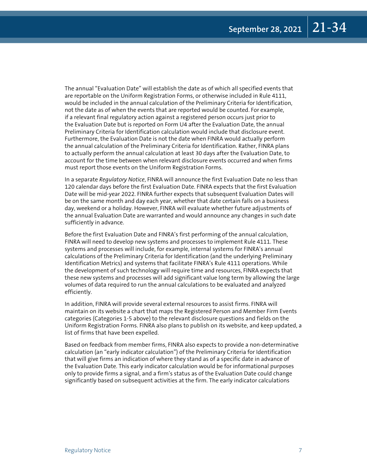The annual "Evaluation Date" will establish the date as of which all specified events that are reportable on the Uniform Registration Forms, or otherwise included in Rule 4111, would be included in the annual calculation of the Preliminary Criteria for Identification, not the date as of when the events that are reported would be counted. For example, if a relevant final regulatory action against a registered person occurs just prior to the Evaluation Date but is reported on Form U4 after the Evaluation Date, the annual Preliminary Criteria for Identification calculation would include that disclosure event. Furthermore, the Evaluation Date is not the date when FINRA would actually perform the annual calculation of the Preliminary Criteria for Identification. Rather, FINRA plans to actually perform the annual calculation at least 30 days after the Evaluation Date, to account for the time between when relevant disclosure events occurred and when firms must report those events on the Uniform Registration Forms.

In a separate *Regulatory Notice*, FINRA will announce the first Evaluation Date no less than 120 calendar days before the first Evaluation Date. FINRA expects that the first Evaluation Date will be mid-year 2022. FINRA further expects that subsequent Evaluation Dates will be on the same month and day each year, whether that date certain falls on a business day, weekend or a holiday. However, FINRA will evaluate whether future adjustments of the annual Evaluation Date are warranted and would announce any changes in such date sufficiently in advance.

Before the first Evaluation Date and FINRA's first performing of the annual calculation, FINRA will need to develop new systems and processes to implement Rule 4111. These systems and processes will include, for example, internal systems for FINRA's annual calculations of the Preliminary Criteria for Identification (and the underlying Preliminary Identification Metrics) and systems that facilitate FINRA's Rule 4111 operations. While the development of such technology will require time and resources, FINRA expects that these new systems and processes will add significant value long term by allowing the large volumes of data required to run the annual calculations to be evaluated and analyzed efficiently.

In addition, FINRA will provide several external resources to assist firms. FINRA will maintain on its website a chart that maps the Registered Person and Member Firm Events categories (Categories 1-5 above) to the relevant disclosure questions and fields on the Uniform Registration Forms. FINRA also plans to publish on its website, and keep updated, a list of firms that have been expelled.

Based on feedback from member firms, FINRA also expects to provide a non-determinative calculation (an "early indicator calculation") of the Preliminary Criteria for Identification that will give firms an indication of where they stand as of a specific date in advance of the Evaluation Date. This early indicator calculation would be for informational purposes only to provide firms a signal, and a firm's status as of the Evaluation Date could change significantly based on subsequent activities at the firm. The early indicator calculations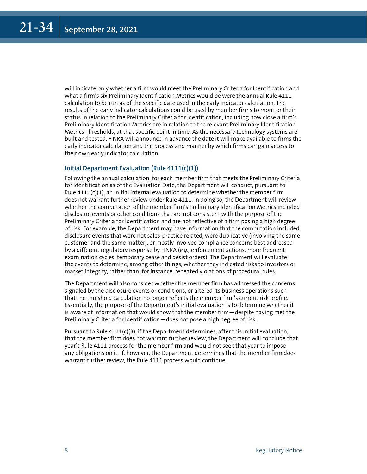will indicate only whether a firm would meet the Preliminary Criteria for Identification and what a firm's six Preliminary Identification Metrics would be were the annual Rule 4111 calculation to be run as of the specific date used in the early indicator calculation. The results of the early indicator calculations could be used by member firms to monitor their status in relation to the Preliminary Criteria for Identification, including how close a firm's Preliminary Identification Metrics are in relation to the relevant Preliminary Identification Metrics Thresholds, at that specific point in time. As the necessary technology systems are built and tested, FINRA will announce in advance the date it will make available to firms the early indicator calculation and the process and manner by which firms can gain access to their own early indicator calculation.

## **Initial Department Evaluation (Rule 4111(c)(1))**

Following the annual calculation, for each member firm that meets the Preliminary Criteria for Identification as of the Evaluation Date, the Department will conduct, pursuant to Rule  $4111(c)(1)$ , an initial internal evaluation to determine whether the member firm does not warrant further review under Rule 4111. In doing so, the Department will review whether the computation of the member firm's Preliminary Identification Metrics included disclosure events or other conditions that are not consistent with the purpose of the Preliminary Criteria for Identification and are not reflective of a firm posing a high degree of risk. For example, the Department may have information that the computation included disclosure events that were not sales-practice related, were duplicative (involving the same customer and the same matter), or mostly involved compliance concerns best addressed by a different regulatory response by FINRA (*e.g.,* enforcement actions, more frequent examination cycles, temporary cease and desist orders). The Department will evaluate the events to determine, among other things, whether they indicated risks to investors or market integrity, rather than, for instance, repeated violations of procedural rules.

The Department will also consider whether the member firm has addressed the concerns signaled by the disclosure events or conditions, or altered its business operations such that the threshold calculation no longer reflects the member firm's current risk profile. Essentially, the purpose of the Department's initial evaluation is to determine whether it is aware of information that would show that the member firm—despite having met the Preliminary Criteria for Identification—does not pose a high degree of risk.

Pursuant to Rule  $4111(c)(3)$ , if the Department determines, after this initial evaluation, that the member firm does not warrant further review, the Department will conclude that year's Rule 4111 process for the member firm and would not seek that year to impose any obligations on it. If, however, the Department determines that the member firm does warrant further review, the Rule 4111 process would continue.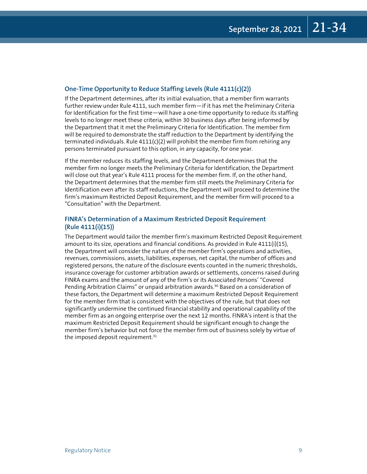## **One-Time Opportunity to Reduce Staffing Levels (Rule 4111(c)(2))**

If the Department determines, after its initial evaluation, that a member firm warrants further review under Rule 4111, such member firm—if it has met the Preliminary Criteria for Identification for the first time—will have a one-time opportunity to reduce its staffing levels to no longer meet these criteria, within 30 business days after being informed by the Department that it met the Preliminary Criteria for Identification. The member firm will be required to demonstrate the staff reduction to the Department by identifying the terminated individuals. Rule 4111(c)(2) will prohibit the member firm from rehiring any persons terminated pursuant to this option, in any capacity, for one year.

If the member reduces its staffing levels, and the Department determines that the member firm no longer meets the Preliminary Criteria for Identification, the Department will close out that year's Rule 4111 process for the member firm. If, on the other hand, the Department determines that the member firm still meets the Preliminary Criteria for Identification even after its staff reductions, the Department will proceed to determine the firm's maximum Restricted Deposit Requirement, and the member firm will proceed to a "Consultation" with the Department.

## **FINRA's Determination of a Maximum Restricted Deposit Requirement (Rule 4111(i)(15))**

The Department would tailor the member firm's maximum Restricted Deposit Requirement amount to its size, operations and financial conditions. As provided in Rule 4111(i)(15), the Department will consider the nature of the member firm's operations and activities, revenues, commissions, assets, liabilities, expenses, net capital, the number of offices and registered persons, the nature of the disclosure events counted in the numeric thresholds, insurance coverage for customer arbitration awards or settlements, concerns raised during FINRA exams and the amount of any of the firm's or its Associated Persons' "Covered Pending Arbitration Claims" or unpaid arbitration awards.<sup>30</sup> Based on a consideration of these factors, the Department will determine a maximum Restricted Deposit Requirement for the member firm that is consistent with the objectives of the rule, but that does not significantly undermine the continued financial stability and operational capability of the member firm as an ongoing enterprise over the next 12 months. FINRA's intent is that the maximum Restricted Deposit Requirement should be significant enough to change the member firm's behavior but not force the member firm out of business solely by virtue of the imposed deposit requirement. $31$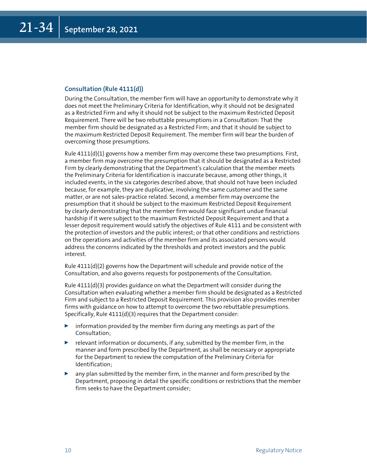## **Consultation (Rule 4111(d))**

During the Consultation, the member firm will have an opportunity to demonstrate why it does not meet the Preliminary Criteria for Identification, why it should not be designated as a Restricted Firm and why it should not be subject to the maximum Restricted Deposit Requirement. There will be two rebuttable presumptions in a Consultation: That the member firm should be designated as a Restricted Firm; and that it should be subject to the maximum Restricted Deposit Requirement. The member firm will bear the burden of overcoming those presumptions.

Rule 4111(d)(1) governs how a member firm may overcome these two presumptions. First, a member firm may overcome the presumption that it should be designated as a Restricted Firm by clearly demonstrating that the Department's calculation that the member meets the Preliminary Criteria for Identification is inaccurate because, among other things, it included events, in the six categories described above, that should not have been included because, for example, they are duplicative, involving the same customer and the same matter, or are not sales-practice related. Second, a member firm may overcome the presumption that it should be subject to the maximum Restricted Deposit Requirement by clearly demonstrating that the member firm would face significant undue financial hardship if it were subject to the maximum Restricted Deposit Requirement and that a lesser deposit requirement would satisfy the objectives of Rule 4111 and be consistent with the protection of investors and the public interest; or that other conditions and restrictions on the operations and activities of the member firm and its associated persons would address the concerns indicated by the thresholds and protect investors and the public interest.

Rule 4111(d)(2) governs how the Department will schedule and provide notice of the Consultation, and also governs requests for postponements of the Consultation.

Rule  $4111(d)(3)$  provides guidance on what the Department will consider during the Consultation when evaluating whether a member firm should be designated as a Restricted Firm and subject to a Restricted Deposit Requirement. This provision also provides member firms with guidance on how to attempt to overcome the two rebuttable presumptions. Specifically, Rule 4111(d)(3) requires that the Department consider:

- $\triangleright$  information provided by the member firm during any meetings as part of the Consultation;
- $\blacktriangleright$  relevant information or documents, if any, submitted by the member firm, in the manner and form prescribed by the Department, as shall be necessary or appropriate for the Department to review the computation of the Preliminary Criteria for Identification;
- $\triangleright$  any plan submitted by the member firm, in the manner and form prescribed by the Department, proposing in detail the specific conditions or restrictions that the member firm seeks to have the Department consider;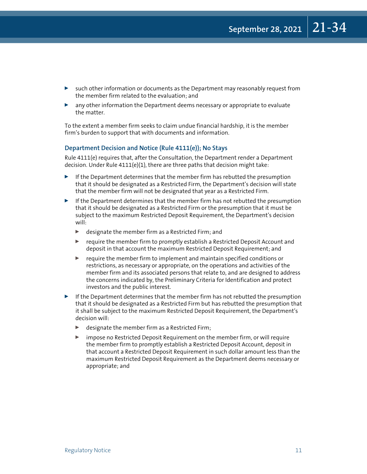- $\triangleright$  such other information or documents as the Department may reasonably request from the member firm related to the evaluation; and
- $\blacktriangleright$  any other information the Department deems necessary or appropriate to evaluate the matter.

To the extent a member firm seeks to claim undue financial hardship, it is the member firm's burden to support that with documents and information.

## **Department Decision and Notice (Rule 4111(e)); No Stays**

Rule 4111(e) requires that, after the Consultation, the Department render a Department decision. Under Rule 4111(e)(1), there are three paths that decision might take:

- If the Department determines that the member firm has rebutted the presumption that it should be designated as a Restricted Firm, the Department's decision will state that the member firm will not be designated that year as a Restricted Firm.
- $\blacktriangleright$  If the Department determines that the member firm has not rebutted the presumption that it should be designated as a Restricted Firm or the presumption that it must be subject to the maximum Restricted Deposit Requirement, the Department's decision will:
	- $\blacktriangleright$  designate the member firm as a Restricted Firm; and
	- $\triangleright$  require the member firm to promptly establish a Restricted Deposit Account and deposit in that account the maximum Restricted Deposit Requirement; and
	- $\blacktriangleright$  require the member firm to implement and maintain specified conditions or restrictions, as necessary or appropriate, on the operations and activities of the member firm and its associated persons that relate to, and are designed to address the concerns indicated by, the Preliminary Criteria for Identification and protect investors and the public interest.
- $\blacktriangleright$  If the Department determines that the member firm has not rebutted the presumption that it should be designated as a Restricted Firm but has rebutted the presumption that it shall be subject to the maximum Restricted Deposit Requirement, the Department's decision will:
	- $\blacktriangleright$  designate the member firm as a Restricted Firm;
	- $\triangleright$  impose no Restricted Deposit Requirement on the member firm, or will require the member firm to promptly establish a Restricted Deposit Account, deposit in that account a Restricted Deposit Requirement in such dollar amount less than the maximum Restricted Deposit Requirement as the Department deems necessary or appropriate; and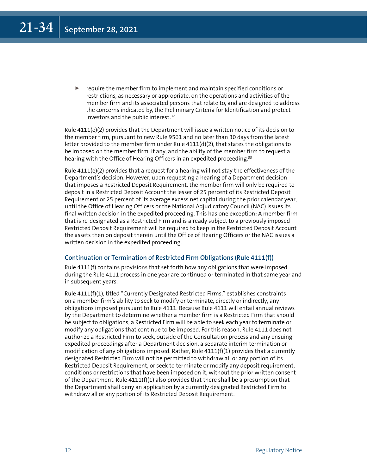require the member firm to implement and maintain specified conditions or restrictions, as necessary or appropriate, on the operations and activities of the member firm and its associated persons that relate to, and are designed to address the concerns indicated by, the Preliminary Criteria for Identification and protect investors and the public interest.<sup>32</sup>

Rule 4111(e)(2) provides that the Department will issue a written notice of its decision to the member firm, pursuant to new Rule 9561 and no later than 30 days from the latest letter provided to the member firm under Rule  $4111(d)(2)$ , that states the obligations to be imposed on the member firm, if any, and the ability of the member firm to request a hearing with the Office of Hearing Officers in an expedited proceeding.<sup>33</sup>

Rule 4111(e)(2) provides that a request for a hearing will not stay the effectiveness of the Department's decision. However, upon requesting a hearing of a Department decision that imposes a Restricted Deposit Requirement, the member firm will only be required to deposit in a Restricted Deposit Account the lesser of 25 percent of its Restricted Deposit Requirement or 25 percent of its average excess net capital during the prior calendar year, until the Office of Hearing Officers or the National Adjudicatory Council (NAC) issues its final written decision in the expedited proceeding. This has one exception: A member firm that is re-designated as a Restricted Firm and is already subject to a previously imposed Restricted Deposit Requirement will be required to keep in the Restricted Deposit Account the assets then on deposit therein until the Office of Hearing Officers or the NAC issues a written decision in the expedited proceeding.

## **Continuation or Termination of Restricted Firm Obligations (Rule 4111(f))**

Rule 4111(f) contains provisions that set forth how any obligations that were imposed during the Rule 4111 process in one year are continued or terminated in that same year and in subsequent years.

Rule 4111(f)(1), titled "Currently Designated Restricted Firms," establishes constraints on a member firm's ability to seek to modify or terminate, directly or indirectly, any obligations imposed pursuant to Rule 4111. Because Rule 4111 will entail annual reviews by the Department to determine whether a member firm is a Restricted Firm that should be subject to obligations, a Restricted Firm will be able to seek each year to terminate or modify any obligations that continue to be imposed. For this reason, Rule 4111 does not authorize a Restricted Firm to seek, outside of the Consultation process and any ensuing expedited proceedings after a Department decision, a separate interim termination or modification of any obligations imposed. Rather, Rule  $4111(f)(1)$  provides that a currently designated Restricted Firm will not be permitted to withdraw all or any portion of its Restricted Deposit Requirement, or seek to terminate or modify any deposit requirement, conditions or restrictions that have been imposed on it, without the prior written consent of the Department. Rule  $4111(f)(1)$  also provides that there shall be a presumption that the Department shall deny an application by a currently designated Restricted Firm to withdraw all or any portion of its Restricted Deposit Requirement.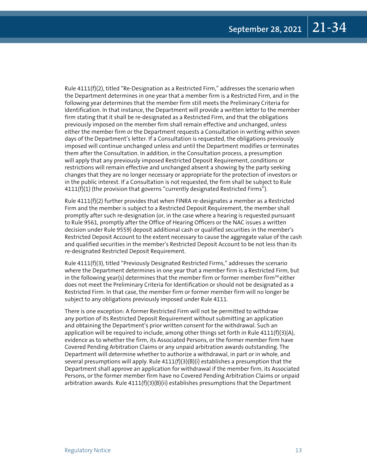Rule 4111(f)(2), titled "Re-Designation as a Restricted Firm," addresses the scenario when the Department determines in one year that a member firm is a Restricted Firm, and in the following year determines that the member firm still meets the Preliminary Criteria for Identification. In that instance, the Department will provide a written letter to the member firm stating that it shall be re-designated as a Restricted Firm, and that the obligations previously imposed on the member firm shall remain effective and unchanged, unless either the member firm or the Department requests a Consultation in writing within seven days of the Department's letter. If a Consultation is requested, the obligations previously imposed will continue unchanged unless and until the Department modifies or terminates them after the Consultation. In addition, in the Consultation process, a presumption will apply that any previously imposed Restricted Deposit Requirement, conditions or restrictions will remain effective and unchanged absent a showing by the party seeking changes that they are no longer necessary or appropriate for the protection of investors or in the public interest. If a Consultation is not requested, the firm shall be subject to Rule 4111(f)(1) (the provision that governs "currently designated Restricted Firms").

Rule 4111(f)(2) further provides that when FINRA re-designates a member as a Restricted Firm and the member is subject to a Restricted Deposit Requirement, the member shall promptly after such re-designation (or, in the case where a hearing is requested pursuant to Rule 9561, promptly after the Office of Hearing Officers or the NAC issues a written decision under Rule 9559) deposit additional cash or qualified securities in the member's Restricted Deposit Account to the extent necessary to cause the aggregate value of the cash and qualified securities in the member's Restricted Deposit Account to be not less than its re-designated Restricted Deposit Requirement.

Rule 4111(f)(3), titled "Previously Designated Restricted Firms," addresses the scenario where the Department determines in one year that a member firm is a Restricted Firm, but in the following year(s) determines that the member firm or former member firm<sup>34</sup> either does not meet the Preliminary Criteria for Identification or should not be designated as a Restricted Firm. In that case, the member firm or former member firm will no longer be subject to any obligations previously imposed under Rule 4111.

There is one exception: A former Restricted Firm will not be permitted to withdraw any portion of its Restricted Deposit Requirement without submitting an application and obtaining the Department's prior written consent for the withdrawal. Such an application will be required to include, among other things set forth in Rule  $4111(f)(3)(A)$ , evidence as to whether the firm, its Associated Persons, or the former member firm have Covered Pending Arbitration Claims or any unpaid arbitration awards outstanding. The Department will determine whether to authorize a withdrawal, in part or in whole, and several presumptions will apply. Rule  $4111(f)(3)(B)(i)$  establishes a presumption that the Department shall approve an application for withdrawal if the member firm, its Associated Persons, or the former member firm have no Covered Pending Arbitration Claims or unpaid arbitration awards. Rule  $4111(f)(3)(B)(ii)$  establishes presumptions that the Department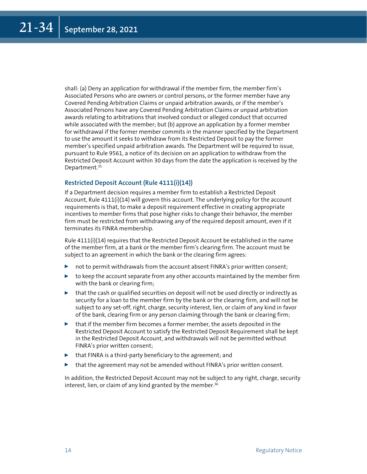shall: (a) Deny an application for withdrawal if the member firm, the member firm's Associated Persons who are owners or control persons, or the former member have any Covered Pending Arbitration Claims or unpaid arbitration awards, or if the member's Associated Persons have any Covered Pending Arbitration Claims or unpaid arbitration awards relating to arbitrations that involved conduct or alleged conduct that occurred while associated with the member; but (b) approve an application by a former member for withdrawal if the former member commits in the manner specified by the Department to use the amount it seeks to withdraw from its Restricted Deposit to pay the former member's specified unpaid arbitration awards. The Department will be required to issue, pursuant to Rule 9561, a notice of its decision on an application to withdraw from the Restricted Deposit Account within 30 days from the date the application is received by the Department.<sup>35</sup>

## **Restricted Deposit Account (Rule 4111(i)(14))**

If a Department decision requires a member firm to establish a Restricted Deposit Account, Rule 4111(i)(14) will govern this account. The underlying policy for the account requirements is that, to make a deposit requirement effective in creating appropriate incentives to member firms that pose higher risks to change their behavior, the member firm must be restricted from withdrawing any of the required deposit amount, even if it terminates its FINRA membership.

Rule 4111(i)(14) requires that the Restricted Deposit Account be established in the name of the member firm, at a bank or the member firm's clearing firm. The account must be subject to an agreement in which the bank or the clearing firm agrees:

- not to permit withdrawals from the account absent FINRA's prior written consent;
- $\triangleright$  to keep the account separate from any other accounts maintained by the member firm with the bank or clearing firm;
- $\triangleright$  that the cash or qualified securities on deposit will not be used directly or indirectly as security for a loan to the member firm by the bank or the clearing firm, and will not be subject to any set-off, right, charge, security interest, lien, or claim of any kind in favor of the bank, clearing firm or any person claiming through the bank or clearing firm;
- $\blacktriangleright$  that if the member firm becomes a former member, the assets deposited in the Restricted Deposit Account to satisfy the Restricted Deposit Requirement shall be kept in the Restricted Deposit Account, and withdrawals will not be permitted without FINRA's prior written consent;
- $\blacktriangleright$  that FINRA is a third-party beneficiary to the agreement; and
- that the agreement may not be amended without FINRA's prior written consent.

In addition, the Restricted Deposit Account may not be subject to any right, charge, security interest, lien, or claim of any kind granted by the member.<sup>36</sup>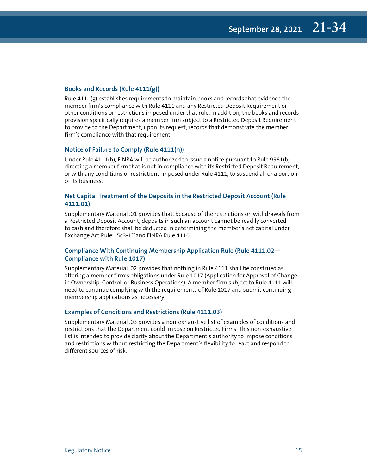## **Books and Records (Rule 4111(g))**

Rule 4111(g) establishes requirements to maintain books and records that evidence the member firm's compliance with Rule 4111 and any Restricted Deposit Requirement or other conditions or restrictions imposed under that rule. In addition, the books and records provision specifically requires a member firm subject to a Restricted Deposit Requirement to provide to the Department, upon its request, records that demonstrate the member firm's compliance with that requirement.

## **Notice of Failure to Comply (Rule 4111(h))**

Under Rule 4111(h), FINRA will be authorized to issue a notice pursuant to Rule 9561(b) directing a member firm that is not in compliance with its Restricted Deposit Requirement, or with any conditions or restrictions imposed under Rule 4111, to suspend all or a portion of its business.

## **Net Capital Treatment of the Deposits in the Restricted Deposit Account (Rule 4111.01)**

Supplementary Material .01 provides that, because of the restrictions on withdrawals from a Restricted Deposit Account, deposits in such an account cannot be readily converted to cash and therefore shall be deducted in determining the member's net capital under Exchange Act Rule 15c3-137and FINRA Rule 4110.

## **Compliance With Continuing Membership Application Rule (Rule 4111.02— Compliance with Rule 1017)**

Supplementary Material .02 provides that nothing in Rule 4111 shall be construed as altering a member firm's obligations under Rule 1017 (Application for Approval of Change in Ownership, Control, or Business Operations). A member firm subject to Rule 4111 will need to continue complying with the requirements of Rule 1017 and submit continuing membership applications as necessary.

## **Examples of Conditions and Restrictions (Rule 4111.03)**

Supplementary Material .03 provides a non-exhaustive list of examples of conditions and restrictions that the Department could impose on Restricted Firms. This non-exhaustive list is intended to provide clarity about the Department's authority to impose conditions and restrictions without restricting the Department's flexibility to react and respond to different sources of risk.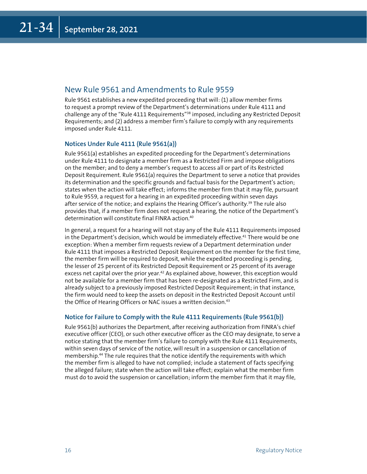# New Rule 9561 and Amendments to Rule 9559

Rule 9561 establishes a new expedited proceeding that will: (1) allow member firms to request a prompt review of the Department's determinations under Rule 4111 and challenge any of the "Rule 4111 Requirements"<sup>38</sup> imposed, including any Restricted Deposit Requirements; and (2) address a member firm's failure to comply with any requirements imposed under Rule 4111.

## **Notices Under Rule 4111 (Rule 9561(a))**

Rule 9561(a) establishes an expedited proceeding for the Department's determinations under Rule 4111 to designate a member firm as a Restricted Firm and impose obligations on the member; and to deny a member's request to access all or part of its Restricted Deposit Requirement. Rule 9561(a) requires the Department to serve a notice that provides its determination and the specific grounds and factual basis for the Department's action; states when the action will take effect; informs the member firm that it may file, pursuant to Rule 9559, a request for a hearing in an expedited proceeding within seven days after service of the notice; and explains the Hearing Officer's authority.<sup>39</sup> The rule also provides that, if a member firm does not request a hearing, the notice of the Department's determination will constitute final FINRA action.<sup>40</sup>

In general, a request for a hearing will not stay any of the Rule 4111 Requirements imposed in the Department's decision, which would be immediately effective.<sup>41</sup> There would be one exception: When a member firm requests review of a Department determination under Rule 4111 that imposes a Restricted Deposit Requirement on the member for the first time, the member firm will be required to deposit, while the expedited proceeding is pending, the lesser of 25 percent of its Restricted Deposit Requirement or 25 percent of its average excess net capital over the prior year.<sup>42</sup> As explained above, however, this exception would not be available for a member firm that has been re-designated as a Restricted Firm, and is already subject to a previously imposed Restricted Deposit Requirement; in that instance, the firm would need to keep the assets on deposit in the Restricted Deposit Account until the Office of Hearing Officers or NAC issues a written decision.<sup>43</sup>

## **Notice for Failure to Comply with the Rule 4111 Requirements (Rule 9561(b))**

Rule 9561(b) authorizes the Department, after receiving authorization from FINRA's chief executive officer (CEO), or such other executive officer as the CEO may designate, to serve a notice stating that the member firm's failure to comply with the Rule 4111 Requirements, within seven days of service of the notice, will result in a suspension or cancellation of membership.<sup>44</sup> The rule requires that the notice identify the requirements with which the member firm is alleged to have not complied; include a statement of facts specifying the alleged failure; state when the action will take effect; explain what the member firm must do to avoid the suspension or cancellation; inform the member firm that it may file,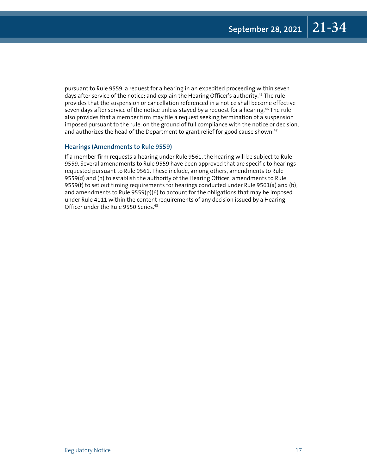pursuant to Rule 9559, a request for a hearing in an expedited proceeding within seven days after service of the notice; and explain the Hearing Officer's authority.<sup>45</sup> The rule provides that the suspension or cancellation referenced in a notice shall become effective seven days after service of the notice unless stayed by a request for a hearing.<sup>46</sup> The rule also provides that a member firm may file a request seeking termination of a suspension imposed pursuant to the rule, on the ground of full compliance with the notice or decision, and authorizes the head of the Department to grant relief for good cause shown.<sup>47</sup>

## **Hearings (Amendments to Rule 9559)**

If a member firm requests a hearing under Rule 9561, the hearing will be subject to Rule 9559. Several amendments to Rule 9559 have been approved that are specific to hearings requested pursuant to Rule 9561. These include, among others, amendments to Rule 9559(d) and (n) to establish the authority of the Hearing Officer; amendments to Rule 9559(f) to set out timing requirements for hearings conducted under Rule 9561(a) and (b); and amendments to Rule 9559(p)(6) to account for the obligations that may be imposed under Rule 4111 within the content requirements of any decision issued by a Hearing Officer under the Rule 9550 Series.<sup>48</sup>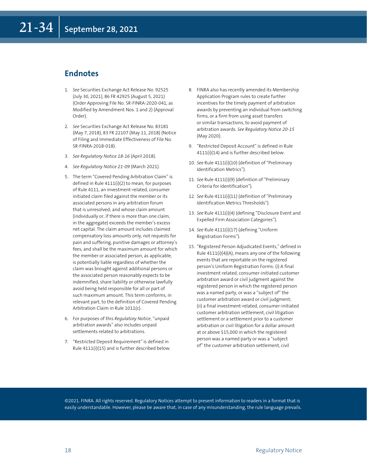# **Endnotes**

- 1. *See* Securities Exchange Act Release No. 92525 (July 30, 2021), 86 FR 42925 (August 5, 2021) (Order Approving File No. SR-FINRA-2020-041, as Modified by Amendment Nos. 1 and 2) (Approval Order).
- 2. *See* Securities Exchange Act Release No. 83181 (May 7, 2018), 83 FR 22107 (May 11, 2018) (Notice of Filing and Immediate Effectiveness of File No. SR-FINRA-2018-018).
- 3. *See Regulatory Notice 18-16* (April 2018).
- 4. *See Regulatory Notice 21-09* (March 2021).
- 5. The term "Covered Pending Arbitration Claim" is defined in Rule 4111(i)(2) to mean, for purposes of Rule 4111, an investment-related, consumer initiated claim filed against the member or its associated persons in any arbitration forum that is unresolved; and whose claim amount (individually or, if there is more than one claim, in the aggregate) exceeds the member's excess net capital. The claim amount includes claimed compensatory loss amounts only, not requests for pain and suffering, punitive damages or attorney's fees, and shall be the maximum amount for which the member or associated person, as applicable, is potentially liable regardless of whether the claim was brought against additional persons or the associated person reasonably expects to be indemnified, share liability or otherwise lawfully avoid being held responsible for all or part of such maximum amount. This term conforms, in relevant part, to the definition of Covered Pending Arbitration Claim in Rule 1011(c).
- 6. For purposes of this *Regulatory Notice*, "unpaid arbitration awards" also includes unpaid settlements related to arbitrations.
- 7. "Restricted Deposit Requirement" is defined in Rule 4111(i)(15) and is further described below.
- 8. FINRA also has recently amended its Membership Application Program rules to create further incentives for the timely payment of arbitration awards by preventing an individual from switching firms, or a firm from using asset transfers or similar transactions, to avoid payment of arbitration awards. *See Regulatory Notice 20-15* (May 2020).
- 9. "Restricted Deposit Account" is defined in Rule 4111(i)(14) and is further described below.
- 10. *See* Rule 4111(i)(10) (definition of "Preliminary Identification Metrics").
- 11. See Rule 4111(i)(9) (definition of "Preliminary Criteria for Identification").
- 12. See Rule 4111(i)(11) (definition of "Preliminary Identification Metrics Thresholds").
- 13. See Rule 4111(i)(4) (defining "Disclosure Event and Expelled Firm Association Categories").
- 14. *See* Rule 4111(i)(17) (defining "Uniform Registration Forms").
- 15. "Registered Person Adjudicated Events," defined in Rule 4111(i)(4)(A), means any one of the following events that are reportable on the registered person's Uniform Registration Forms: (i) A final investment-related, consumer-initiated customer arbitration award or civil judgment against the registered person in which the registered person was a named party, or was a "subject of" the customer arbitration award or civil judgment; (ii) a final investment-related, consumer-initiated customer arbitration settlement, civil litigation settlement or a settlement prior to a customer arbitration or civil litigation for a dollar amount at or above \$15,000 in which the registered person was a named party or was a "subject of" the customer arbitration settlement, civil

©2021. FINRA. All rights reserved. Regulatory Notices attempt to present information to readers in a format that is easily understandable. However, please be aware that, in case of any misunderstanding, the rule language prevails.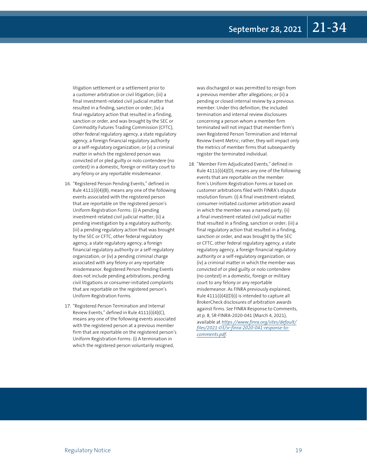litigation settlement or a settlement prior to a customer arbitration or civil litigation; (iii) a final investment-related civil judicial matter that resulted in a finding, sanction or order; (iv) a final regulatory action that resulted in a finding, sanction or order, and was brought by the SEC or Commodity Futures Trading Commission (CFTC), other federal regulatory agency, a state regulatory agency, a foreign financial regulatory authority or a self-regulatory organization; or (v) a criminal matter in which the registered person was convicted of or pled guilty or nolo contendere (no contest) in a domestic, foreign or military court to any felony or any reportable misdemeanor.

- 16. "Registered Person Pending Events," defined in Rule 4111(i)(4)(B), means any one of the following events associated with the registered person that are reportable on the registered person's Uniform Registration Forms: (i) A pending investment-related civil judicial matter; (ii) a pending investigation by a regulatory authority; (iii) a pending regulatory action that was brought by the SEC or CFTC, other federal regulatory agency, a state regulatory agency, a foreign financial regulatory authority or a self-regulatory organization; or (iv) a pending criminal charge associated with any felony or any reportable misdemeanor. Registered Person Pending Events does not include pending arbitrations, pending civil litigations or consumer-initiated complaints that are reportable on the registered person's Uniform Registration Forms.
- 17. "Registered Person Termination and Internal Review Events," defined in Rule 4111(i)(4)(C), means any one of the following events associated with the registered person at a previous member firm that are reportable on the registered person's Uniform Registration Forms: (i) A termination in which the registered person voluntarily resigned,

was discharged or was permitted to resign from a previous member after allegations; or (ii) a pending or closed internal review by a previous member. Under this definition, the included termination and internal review disclosures concerning a person whom a member firm terminated will not impact that member firm's own Registered Person Termination and Internal Review Event Metric; rather, they will impact only the metrics of member firms that subsequently register the terminated individual.

18. "Member Firm Adjudicated Events," defined in Rule 4111(i)(4)(D), means any one of the following events that are reportable on the member firm's Uniform Registration Forms or based on customer arbitrations filed with FINRA's dispute resolution forum: (i) A final investment-related, consumer-initiated customer arbitration award in which the member was a named party; (ii) a final investment-related civil judicial matter that resulted in a finding, sanction or order; (iii) a final regulatory action that resulted in a finding, sanction or order, and was brought by the SEC or CFTC, other federal regulatory agency, a state regulatory agency, a foreign financial regulatory authority or a self-regulatory organization; or (iv) a criminal matter in which the member was convicted of or pled guilty or nolo contendere (no contest) in a domestic, foreign or military court to any felony or any reportable misdemeanor. As FINRA previously explained, Rule 4111(i)(4)(D)(i) is intended to capture all BrokerCheck disclosures of arbitration awards against firms. *See* FINRA Response to Comments, at p. 8, SR-FINRA-2020-041 (March 4, 2021), available at *[https://www.finra.org/sites/default/](https://www.finra.org/sites/default/files/2021-03/sr-finra-2020-041-response-to-comments.pdf) [files/2021-03/sr-finra-2020-041-response-to](https://www.finra.org/sites/default/files/2021-03/sr-finra-2020-041-response-to-comments.pdf)[comments.pdf](https://www.finra.org/sites/default/files/2021-03/sr-finra-2020-041-response-to-comments.pdf)*.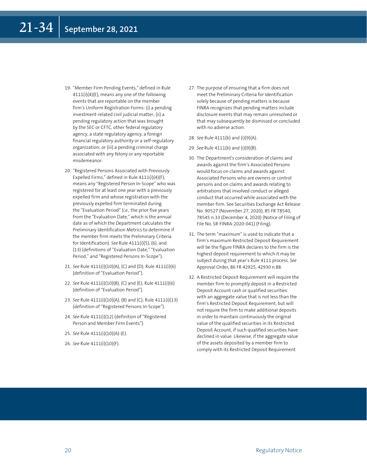- 19. "Member Firm Pending Events," defined in Rule 4111(i)(4)(E), means any one of the following events that are reportable on the member firm's Uniform Registration Forms: (i) a pending investment-related civil judicial matter; (ii) a pending regulatory action that was brought by the SEC or CFTC, other federal regulatory agency, a state regulatory agency, a foreign financial regulatory authority or a self-regulatory organization; or (iii) a pending criminal charge associated with any felony or any reportable misdemeanor.
- 20. "Registered Persons Associated with Previously Expelled Firms," defined in Rule 4111(i)(4)(F), means any "Registered Person In-Scope" who was registered for at least one year with a previously expelled firm and whose registration with the previously expelled firm terminated during the "Evaluation Period" (*i.e.,* the prior five years from the "Evaluation Date," which is the annual date as of which the Department calculates the Preliminary Identification Metrics to determine if the member firm meets the Preliminary Criteria for Identification). *See* Rule 4111(i)(5), (6), and (13) (definitions of "Evaluation Date," "Evaluation Period," and "Registered Persons In-Scope").
- 21. *See* Rule 4111(i)(10)(A), (C) and (D); Rule 4111(i)(6) (definition of "Evaluation Period").
- 22. *See* Rule 4111(i)(10)(B), (C) and (E); Rule 4111(i)(6) (definition of "Evaluation Period").
- 23. *See* Rule 4111(i)(10)(A), (B) and (C); Rule 4111(i)(13) (definition of "Registered Persons In-Scope").
- 24. See Rule 4111(i)(12) (definition of "Registered Person and Member Firm Events").
- 25. *See* Rule 4111(i)(10)(A)-(E).
- 26. *See* Rule 4111(i)(10)(F).
- 27. The purpose of ensuring that a firm does not meet the Preliminary Criteria for Identification solely because of pending matters is because FINRA recognizes that pending matters include disclosure events that may remain unresolved or that may subsequently be dismissed or concluded with no adverse action.
- 28. *See* Rule 4111(b) and (i)(9)(A).
- 29. *See* Rule 4111(b) and (i)(9)(B).
- 30. The Department's consideration of claims and awards against the firm's Associated Persons would focus on claims and awards against Associated Persons who are owners or control persons and on claims and awards relating to arbitrations that involved conduct or alleged conduct that occurred while associated with the member firm. See Securities Exchange Act Release No. 90527 (November 27, 2020), 85 FR 78540, 78545 n.33 (December 4, 2020) (Notice of Filing of File No. SR-FINRA-2020-041) (Filing).
- 31. The term "maximum" is used to indicate that a firm's maximum Restricted Deposit Requirement will be the figure FINRA declares to the firm is the highest deposit requirement to which it may be subject during that year's Rule 4111 process. *See* Approval Order, 86 FR 42925, 42930 n.88.
- 32. A Restricted Deposit Requirement will require the member firm to promptly deposit in a Restricted Deposit Account cash or qualified securities with an aggregate value that is not less than the firm's Restricted Deposit Requirement, but will not require the firm to make additional deposits in order to maintain continuously the original value of the qualified securities in its Restricted Deposit Account, if such qualified securities have declined in value. Likewise, if the aggregate value of the assets deposited by a member firm to comply with its Restricted Deposit Requirement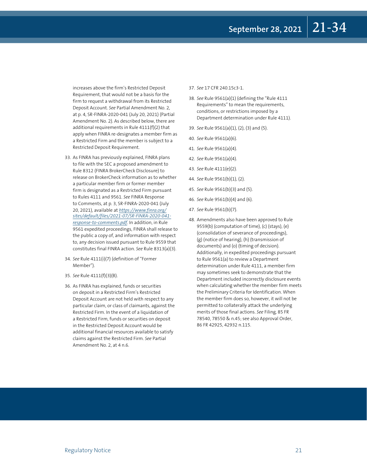increases above the firm's Restricted Deposit Requirement, that would not be a basis for the firm to request a withdrawal from its Restricted Deposit Account. *See* Partial Amendment No. 2, at p. 4, SR-FINRA-2020-041 (July 20, 2021) (Partial Amendment No. 2). As described below, there are additional requirements in Rule 4111(f)(2) that apply when FINRA re-designates a member firm as a Restricted Firm and the member is subject to a Restricted Deposit Requirement.

- 33. As FINRA has previously explained, FINRA plans to file with the SEC a proposed amendment to Rule 8312 (FINRA BrokerCheck Disclosure) to release on BrokerCheck information as to whether a particular member firm or former member firm is designated as a Restricted Firm pursuant to Rules 4111 and 9561. *See* FINRA Response to Comments, at p. 3, SR-FINRA-2020-041 (July 20, 2021), available at *[https://www.finra.org/](https://www.finra.org/sites/default/files/2021-07/SR-FINRA-2020-041-response-to-comments.pdf) [sites/default/files/2021-07/SR-FINRA-2020-041](https://www.finra.org/sites/default/files/2021-07/SR-FINRA-2020-041-response-to-comments.pdf) [response-to-comments.pdf](https://www.finra.org/sites/default/files/2021-07/SR-FINRA-2020-041-response-to-comments.pdf)*. In addition, in Rule 9561 expedited proceedings, FINRA shall release to the public a copy of, and information with respect to, any decision issued pursuant to Rule 9559 that constitutes final FINRA action. *See* Rule 8313(a)(3).
- 34. *See* Rule 4111(i)(7) (definition of "Former Member").
- 35. *See* Rule 4111(f)(3)(B).
- 36. As FINRA has explained, funds or securities on deposit in a Restricted Firm's Restricted Deposit Account are not held with respect to any particular claim, or class of claimants, against the Restricted Firm. In the event of a liquidation of a Restricted Firm, funds or securities on deposit in the Restricted Deposit Account would be additional financial resources available to satisfy claims against the Restricted Firm. *See* Partial Amendment No. 2, at 4 n.6.

#### 37. *See* 17 CFR 240.15c3-1.

- 38. *See* Rule 9561(a)(1) (defining the "Rule 4111 Requirements" to mean the requirements, conditions, or restrictions imposed by a Department determination under Rule 4111).
- 39. *See* Rule 9561(a)(1), (2), (3) and (5).
- 40. *See* Rule 9561(a)(6).
- 41. *See* Rule 9561(a)(4).
- 42. *See* Rule 9561(a)(4).
- 43. *See* Rule 4111(e)(2).
- 44. *See* Rule 9561(b)(1), (2).
- 45. *See* Rule 9561(b)(3) and (5).
- 46. *See* Rule 9561(b)(4) and (6).
- 47. *See* Rule 9561(b)(7).
- 48. Amendments also have been approved to Rule 9559(b) (computation of time), (c) (stays), (e) (consolidation of severance of proceedings), (g) (notice of hearing), (h) (transmission of documents) and (o) (timing of decision). Additionally, in expedited proceedings pursuant to Rule 9561(a) to review a Department determination under Rule 4111, a member firm may sometimes seek to demonstrate that the Department included incorrectly disclosure events when calculating whether the member firm meets the Preliminary Criteria for Identification. When the member firm does so, however, it will not be permitted to collaterally attack the underlying merits of those final actions. *See* Filing, 85 FR 78540, 78550 & n.45; see also Approval Order, 86 FR 42925, 42932 n.115.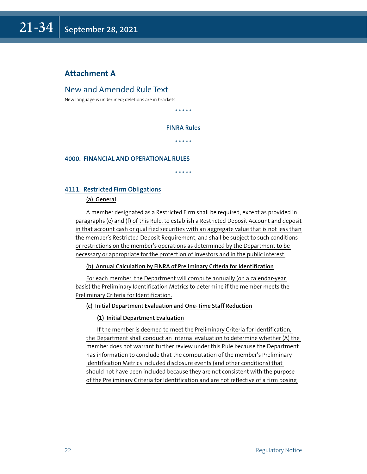# **Attachment A**

# New and Amended Rule Text

New language is underlined; deletions are in brackets.

\* \* \* \* \*

## **FINRA Rules**

\* \* \* \* \*

## **4000. FINANCIAL AND OPERATIONAL RULES**

\* \* \* \* \*

## **4111. Restricted Firm Obligations**

## **(a) General**

A member designated as a Restricted Firm shall be required, except as provided in paragraphs (e) and (f) of this Rule, to establish a Restricted Deposit Account and deposit in that account cash or qualified securities with an aggregate value that is not less than the member's Restricted Deposit Requirement, and shall be subject to such conditions or restrictions on the member's operations as determined by the Department to be necessary or appropriate for the protection of investors and in the public interest.

## **(b) Annual Calculation by FINRA of Preliminary Criteria for Identification**

For each member, the Department will compute annually (on a calendar-year basis) the Preliminary Identification Metrics to determine if the member meets the Preliminary Criteria for Identification.

## **(c) Initial Department Evaluation and One-Time Staff Reduction**

## **(1) Initial Department Evaluation**

If the member is deemed to meet the Preliminary Criteria for Identification, the Department shall conduct an internal evaluation to determine whether (A) the member does not warrant further review under this Rule because the Department has information to conclude that the computation of the member's Preliminary Identification Metrics included disclosure events (and other conditions) that should not have been included because they are not consistent with the purpose of the Preliminary Criteria for Identification and are not reflective of a firm posing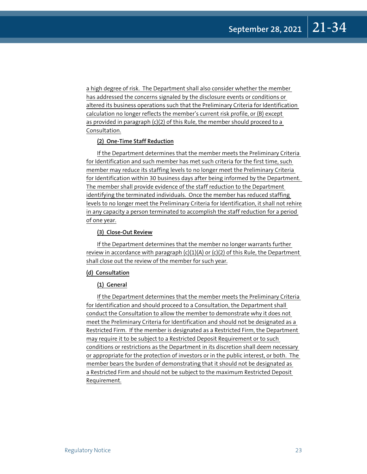a high degree of risk. The Department shall also consider whether the member has addressed the concerns signaled by the disclosure events or conditions or altered its business operations such that the Preliminary Criteria for Identification calculation no longer reflects the member's current risk profile, or (B) except as provided in paragraph (c)(2) of this Rule, the member should proceed to a Consultation.

## **(2) One-Time Staff Reduction**

If the Department determines that the member meets the Preliminary Criteria for Identification and such member has met such criteria for the first time, such member may reduce its staffing levels to no longer meet the Preliminary Criteria for Identification within 30 business days after being informed by the Department. The member shall provide evidence of the staff reduction to the Department identifying the terminated individuals. Once the member has reduced staffing levels to no longer meet the Preliminary Criteria for Identification, it shall not rehire in any capacity a person terminated to accomplish the staff reduction for a period of one year.

## **(3) Close-Out Review**

If the Department determines that the member no longer warrants further review in accordance with paragraph  $(c)(1)(A)$  or  $(c)(2)$  of this Rule, the Department shall close out the review of the member for such year.

## **(d) Consultation**

## **(1) General**

If the Department determines that the member meets the Preliminary Criteria for Identification and should proceed to a Consultation, the Department shall conduct the Consultation to allow the member to demonstrate why it does not meet the Preliminary Criteria for Identification and should not be designated as a Restricted Firm. If the member is designated as a Restricted Firm, the Department may require it to be subject to a Restricted Deposit Requirement or to such conditions or restrictions as the Department in its discretion shall deem necessary or appropriate for the protection of investors or in the public interest, or both. The member bears the burden of demonstrating that it should not be designated as a Restricted Firm and should not be subject to the maximum Restricted Deposit Requirement.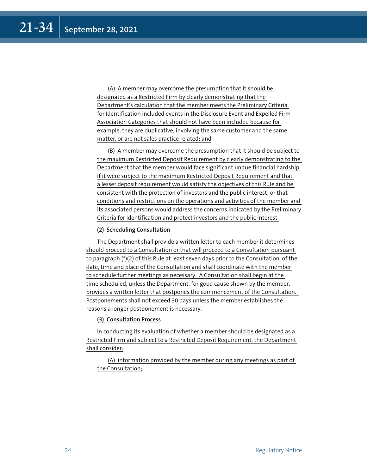(A) A member may overcome the presumption that it should be designated as a Restricted Firm by clearly demonstrating that the Department's calculation that the member meets the Preliminary Criteria for Identification included events in the Disclosure Event and Expelled Firm Association Categories that should not have been included because for example, they are duplicative, involving the same customer and the same matter, or are not sales practice related; and

(B) A member may overcome the presumption that it should be subject to the maximum Restricted Deposit Requirement by clearly demonstrating to the Department that the member would face significant undue financial hardship if it were subject to the maximum Restricted Deposit Requirement and that a lesser deposit requirement would satisfy the objectives of this Rule and be consistent with the protection of investors and the public interest; or that conditions and restrictions on the operations and activities of the member and its associated persons would address the concerns indicated by the Preliminary Criteria for Identification and protect investors and the public interest.

## **(2) Scheduling Consultation**

The Department shall provide a written letter to each member it determines should proceed to a Consultation or that will proceed to a Consultation pursuant to paragraph (f)(2) of this Rule at least seven days prior to the Consultation, of the date, time and place of the Consultation and shall coordinate with the member to schedule further meetings as necessary. A Consultation shall begin at the time scheduled, unless the Department, for good cause shown by the member, provides a written letter that postpones the commencement of the Consultation. Postponements shall not exceed 30 days unless the member establishes the reasons a longer postponement is necessary.

## **(3) Consultation Process**

In conducting its evaluation of whether a member should be designated as a Restricted Firm and subject to a Restricted Deposit Requirement, the Department shall consider:

(A) information provided by the member during any meetings as part of the Consultation;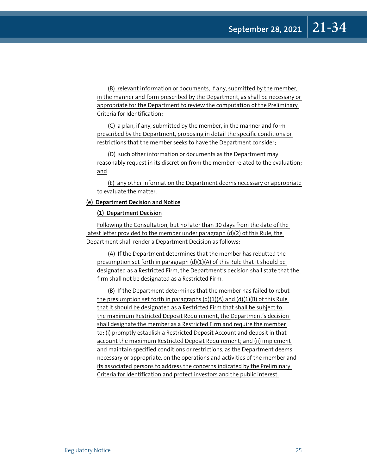(B) relevant information or documents, if any, submitted by the member, in the manner and form prescribed by the Department, as shall be necessary or appropriate for the Department to review the computation of the Preliminary Criteria for Identification;

(C) a plan, if any, submitted by the member, in the manner and form prescribed by the Department, proposing in detail the specific conditions or restrictions that the member seeks to have the Department consider;

(D) such other information or documents as the Department may reasonably request in its discretion from the member related to the evaluation; and

(E) any other information the Department deems necessary or appropriate to evaluate the matter.

## **(e) Department Decision and Notice**

**(1) Department Decision**

Following the Consultation, but no later than 30 days from the date of the latest letter provided to the member under paragraph (d)(2) of this Rule, the Department shall render a Department Decision as follows:

(A) If the Department determines that the member has rebutted the presumption set forth in paragraph (d)(1)(A) of this Rule that it should be designated as a Restricted Firm, the Department's decision shall state that the firm shall not be designated as a Restricted Firm.

(B) If the Department determines that the member has failed to rebut the presumption set forth in paragraphs  $(d)(1)(A)$  and  $(d)(1)(B)$  of this Rule that it should be designated as a Restricted Firm that shall be subject to the maximum Restricted Deposit Requirement, the Department's decision shall designate the member as a Restricted Firm and require the member to: (i) promptly establish a Restricted Deposit Account and deposit in that account the maximum Restricted Deposit Requirement; and (ii) implement and maintain specified conditions or restrictions, as the Department deems necessary or appropriate, on the operations and activities of the member and its associated persons to address the concerns indicated by the Preliminary Criteria for Identification and protect investors and the public interest.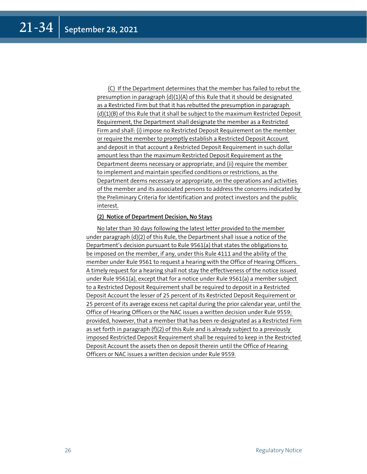(C) If the Department determines that the member has failed to rebut the presumption in paragraph (d)(1)(A) of this Rule that it should be designated as a Restricted Firm but that it has rebutted the presumption in paragraph (d)(1)(B) of this Rule that it shall be subject to the maximum Restricted Deposit Requirement, the Department shall designate the member as a Restricted Firm and shall: (i) impose no Restricted Deposit Requirement on the member or require the member to promptly establish a Restricted Deposit Account and deposit in that account a Restricted Deposit Requirement in such dollar amount less than the maximum Restricted Deposit Requirement as the Department deems necessary or appropriate; and (ii) require the member to implement and maintain specified conditions or restrictions, as the Department deems necessary or appropriate, on the operations and activities of the member and its associated persons to address the concerns indicated by the Preliminary Criteria for Identification and protect investors and the public interest.

## **(2) Notice of Department Decision, No Stays**

No later than 30 days following the latest letter provided to the member under paragraph (d)(2) of this Rule, the Department shall issue a notice of the Department's decision pursuant to Rule 9561(a) that states the obligations to be imposed on the member, if any, under this Rule 4111 and the ability of the member under Rule 9561 to request a hearing with the Office of Hearing Officers. A timely request for a hearing shall not stay the effectiveness of the notice issued under Rule 9561(a), except that for a notice under Rule 9561(a) a member subject to a Restricted Deposit Requirement shall be required to deposit in a Restricted Deposit Account the lesser of 25 percent of its Restricted Deposit Requirement or 25 percent of its average excess net capital during the prior calendar year, until the Office of Hearing Officers or the NAC issues a written decision under Rule 9559; provided, however, that a member that has been re-designated as a Restricted Firm as set forth in paragraph (f)(2) of this Rule and is already subject to a previously imposed Restricted Deposit Requirement shall be required to keep in the Restricted Deposit Account the assets then on deposit therein until the Office of Hearing Officers or NAC issues a written decision under Rule 9559.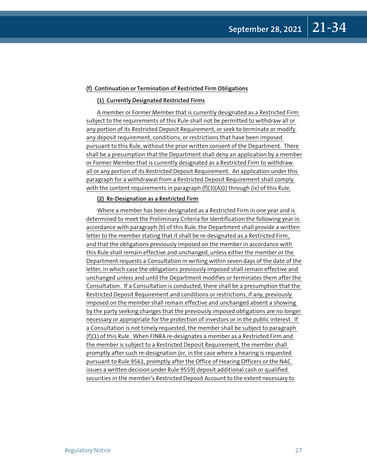### **(f) Continuation or Termination of Restricted Firm Obligations**

#### **(1) Currently Designated Restricted Firms**

A member or Former Member that is currently designated as a Restricted Firm subject to the requirements of this Rule shall not be permitted to withdraw all or any portion of its Restricted Deposit Requirement, or seek to terminate or modify any deposit requirement, conditions, or restrictions that have been imposed pursuant to this Rule, without the prior written consent of the Department. There shall be a presumption that the Department shall deny an application by a member or Former Member that is currently designated as a Restricted Firm to withdraw all or any portion of its Restricted Deposit Requirement. An application under this paragraph for a withdrawal from a Restricted Deposit Requirement shall comply with the content requirements in paragraph (f)(3)(A)(i) through (iv) of this Rule.

## **(2) Re-Designation as a Restricted Firm**

Where a member has been designated as a Restricted Firm in one year and is determined to meet the Preliminary Criteria for Identification the following year in accordance with paragraph (b) of this Rule, the Department shall provide a written letter to the member stating that it shall be re-designated as a Restricted Firm, and that the obligations previously imposed on the member in accordance with this Rule shall remain effective and unchanged, unless either the member or the Department requests a Consultation in writing within seven days of the date of the letter, in which case the obligations previously imposed shall remain effective and unchanged unless and until the Department modifies or terminates them after the Consultation. If a Consultation is conducted, there shall be a presumption that the Restricted Deposit Requirement and conditions or restrictions, if any, previously imposed on the member shall remain effective and unchanged absent a showing by the party seeking changes that the previously imposed obligations are no longer necessary or appropriate for the protection of investors or in the public interest. If a Consultation is not timely requested, the member shall be subject to paragraph (f)(1) of this Rule. When FINRA re-designates a member as a Restricted Firm and the member is subject to a Restricted Deposit Requirement, the member shall promptly after such re-designation (or, in the case where a hearing is requested pursuant to Rule 9561, promptly after the Office of Hearing Officers or the NAC issues a written decision under Rule 9559) deposit additional cash or qualified securities in the member's Restricted Deposit Account to the extent necessary to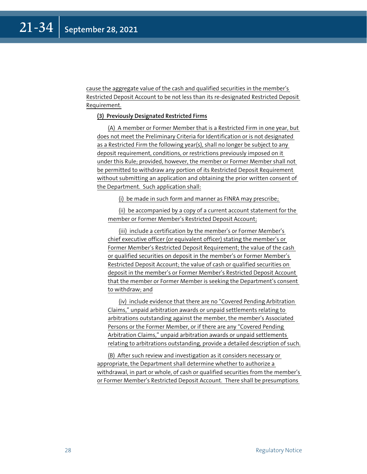cause the aggregate value of the cash and qualified securities in the member's Restricted Deposit Account to be not less than its re-designated Restricted Deposit Requirement.

## **(3) Previously Designated Restricted Firms**

(A) A member or Former Member that is a Restricted Firm in one year, but does not meet the Preliminary Criteria for Identification or is not designated as a Restricted Firm the following year(s), shall no longer be subject to any deposit requirement, conditions, or restrictions previously imposed on it under this Rule; provided, however, the member or Former Member shall not be permitted to withdraw any portion of its Restricted Deposit Requirement without submitting an application and obtaining the prior written consent of the Department. Such application shall:

(i) be made in such form and manner as FINRA may prescribe;

(ii) be accompanied by a copy of a current account statement for the member or Former Member's Restricted Deposit Account;

(iii) include a certification by the member's or Former Member's chief executive officer (or equivalent officer) stating the member's or Former Member's Restricted Deposit Requirement; the value of the cash or qualified securities on deposit in the member's or Former Member's Restricted Deposit Account; the value of cash or qualified securities on deposit in the member's or Former Member's Restricted Deposit Account that the member or Former Member is seeking the Department's consent to withdraw; and

(iv) include evidence that there are no "Covered Pending Arbitration Claims," unpaid arbitration awards or unpaid settlements relating to arbitrations outstanding against the member, the member's Associated Persons or the Former Member, or if there are any "Covered Pending Arbitration Claims," unpaid arbitration awards or unpaid settlements relating to arbitrations outstanding, provide a detailed description of such.

(B) After such review and investigation as it considers necessary or appropriate, the Department shall determine whether to authorize a withdrawal, in part or whole, of cash or qualified securities from the member's or Former Member's Restricted Deposit Account. There shall be presumptions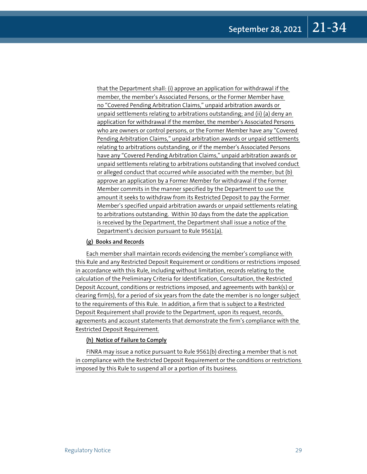that the Department shall: (i) approve an application for withdrawal if the member, the member's Associated Persons, or the Former Member have no "Covered Pending Arbitration Claims," unpaid arbitration awards or unpaid settlements relating to arbitrations outstanding; and (ii) (a) deny an application for withdrawal if the member, the member's Associated Persons who are owners or control persons, or the Former Member have any "Covered Pending Arbitration Claims," unpaid arbitration awards or unpaid settlements relating to arbitrations outstanding, or if the member's Associated Persons have any "Covered Pending Arbitration Claims," unpaid arbitration awards or unpaid settlements relating to arbitrations outstanding that involved conduct or alleged conduct that occurred while associated with the member; but (b) approve an application by a Former Member for withdrawal if the Former Member commits in the manner specified by the Department to use the amount it seeks to withdraw from its Restricted Deposit to pay the Former Member's specified unpaid arbitration awards or unpaid settlements relating to arbitrations outstanding. Within 30 days from the date the application is received by the Department, the Department shall issue a notice of the Department's decision pursuant to Rule 9561(a).

## **(g) Books and Records**

Each member shall maintain records evidencing the member's compliance with this Rule and any Restricted Deposit Requirement or conditions or restrictions imposed in accordance with this Rule, including without limitation, records relating to the calculation of the Preliminary Criteria for Identification, Consultation, the Restricted Deposit Account, conditions or restrictions imposed, and agreements with bank(s) or clearing firm(s), for a period of six years from the date the member is no longer subject to the requirements of this Rule. In addition, a firm that is subject to a Restricted Deposit Requirement shall provide to the Department, upon its request, records, agreements and account statements that demonstrate the firm's compliance with the Restricted Deposit Requirement.

## **(h) Notice of Failure to Comply**

FINRA may issue a notice pursuant to Rule 9561(b) directing a member that is not in compliance with the Restricted Deposit Requirement or the conditions or restrictions imposed by this Rule to suspend all or a portion of its business.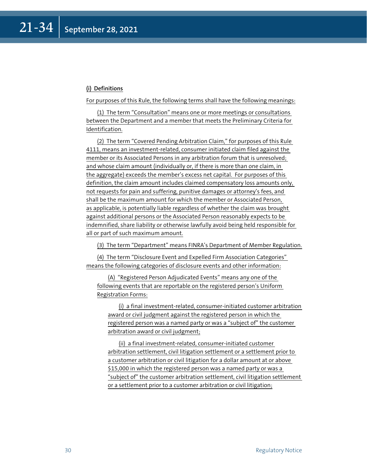## **(i) Definitions**

For purposes of this Rule, the following terms shall have the following meanings:

(1) The term "Consultation" means one or more meetings or consultations between the Department and a member that meets the Preliminary Criteria for Identification.

(2) The term "Covered Pending Arbitration Claim," for purposes of this Rule 4111, means an investment-related, consumer initiated claim filed against the member or its Associated Persons in any arbitration forum that is unresolved; and whose claim amount (individually or, if there is more than one claim, in the aggregate) exceeds the member's excess net capital. For purposes of this definition, the claim amount includes claimed compensatory loss amounts only, not requests for pain and suffering, punitive damages or attorney's fees, and shall be the maximum amount for which the member or Associated Person, as applicable, is potentially liable regardless of whether the claim was brought against additional persons or the Associated Person reasonably expects to be indemnified, share liability or otherwise lawfully avoid being held responsible for all or part of such maximum amount.

(3) The term "Department" means FINRA's Department of Member Regulation.

(4) The term "Disclosure Event and Expelled Firm Association Categories" means the following categories of disclosure events and other information:

(A) "Registered Person Adjudicated Events" means any one of the following events that are reportable on the registered person's Uniform Registration Forms:

(i) a final investment-related, consumer-initiated customer arbitration award or civil judgment against the registered person in which the registered person was a named party or was a "subject of" the customer arbitration award or civil judgment;

(ii) a final investment-related, consumer-initiated customer arbitration settlement, civil litigation settlement or a settlement prior to a customer arbitration or civil litigation for a dollar amount at or above \$15,000 in which the registered person was a named party or was a "subject of" the customer arbitration settlement, civil litigation settlement or a settlement prior to a customer arbitration or civil litigation;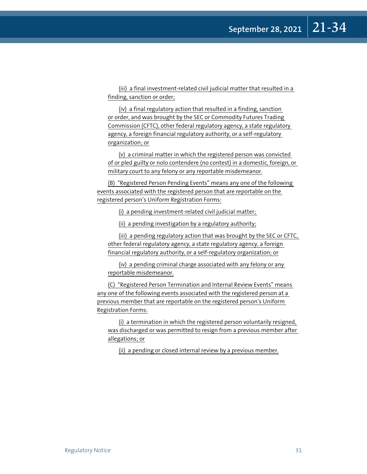(iii) a final investment-related civil judicial matter that resulted in a finding, sanction or order;

(iv) a final regulatory action that resulted in a finding, sanction or order, and was brought by the SEC or Commodity Futures Trading Commission (CFTC), other federal regulatory agency, a state regulatory agency, a foreign financial regulatory authority, or a self-regulatory organization; or

(v) a criminal matter in which the registered person was convicted of or pled guilty or nolo contendere (no contest) in a domestic, foreign, or military court to any felony or any reportable misdemeanor.

(B) "Registered Person Pending Events" means any one of the following events associated with the registered person that are reportable on the registered person's Uniform Registration Forms:

(i) a pending investment-related civil judicial matter;

(ii) a pending investigation by a regulatory authority;

(iii) a pending regulatory action that was brought by the SEC or CFTC, other federal regulatory agency, a state regulatory agency, a foreign financial regulatory authority, or a self-regulatory organization; or

(iv) a pending criminal charge associated with any felony or any reportable misdemeanor.

(C) "Registered Person Termination and Internal Review Events" means any one of the following events associated with the registered person at a previous member that are reportable on the registered person's Uniform Registration Forms:

(i) a termination in which the registered person voluntarily resigned, was discharged or was permitted to resign from a previous member after allegations; or

(ii) a pending or closed internal review by a previous member.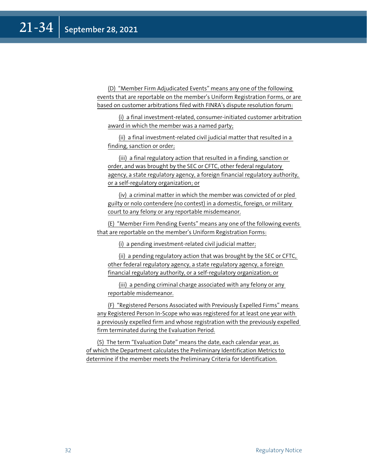(D) "Member Firm Adjudicated Events" means any one of the following events that are reportable on the member's Uniform Registration Forms, or are based on customer arbitrations filed with FINRA's dispute resolution forum:

(i) a final investment-related, consumer-initiated customer arbitration award in which the member was a named party;

(ii) a final investment-related civil judicial matter that resulted in a finding, sanction or order;

(iii) a final regulatory action that resulted in a finding, sanction or order, and was brought by the SEC or CFTC, other federal regulatory agency, a state regulatory agency, a foreign financial regulatory authority, or a self-regulatory organization; or

(iv) a criminal matter in which the member was convicted of or pled guilty or nolo contendere (no contest) in a domestic, foreign, or military court to any felony or any reportable misdemeanor.

(E) "Member Firm Pending Events" means any one of the following events that are reportable on the member's Uniform Registration Forms:

(i) a pending investment-related civil judicial matter;

(ii) a pending regulatory action that was brought by the SEC or CFTC, other federal regulatory agency, a state regulatory agency, a foreign financial regulatory authority, or a self-regulatory organization; or

(iii) a pending criminal charge associated with any felony or any reportable misdemeanor.

(F) "Registered Persons Associated with Previously Expelled Firms" means any Registered Person In-Scope who was registered for at least one year with a previously expelled firm and whose registration with the previously expelled firm terminated during the Evaluation Period.

(5) The term "Evaluation Date" means the date, each calendar year, as of which the Department calculates the Preliminary Identification Metrics to determine if the member meets the Preliminary Criteria for Identification.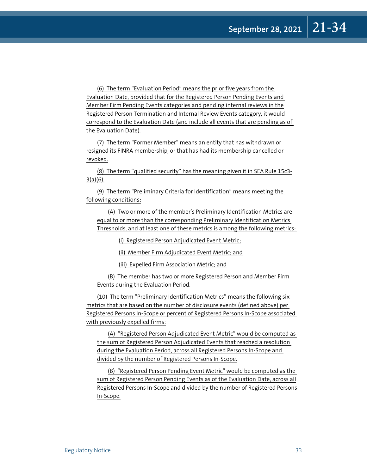(6) The term "Evaluation Period" means the prior five years from the Evaluation Date, provided that for the Registered Person Pending Events and Member Firm Pending Events categories and pending internal reviews in the Registered Person Termination and Internal Review Events category, it would correspond to the Evaluation Date (and include all events that are pending as of the Evaluation Date).

(7) The term "Former Member" means an entity that has withdrawn or resigned its FINRA membership, or that has had its membership cancelled or revoked.

(8) The term "qualified security" has the meaning given it in SEA Rule 15c3-  $3(a)(6)$ .

(9) The term "Preliminary Criteria for Identification" means meeting the following conditions:

(A) Two or more of the member's Preliminary Identification Metrics are equal to or more than the corresponding Preliminary Identification Metrics Thresholds, and at least one of these metrics is among the following metrics:

(i) Registered Person Adjudicated Event Metric;

(ii) Member Firm Adjudicated Event Metric; and

(iii) Expelled Firm Association Metric; and

(B) The member has two or more Registered Person and Member Firm Events during the Evaluation Period.

(10) The term "Preliminary Identification Metrics" means the following six metrics that are based on the number of disclosure events (defined above) per Registered Persons In-Scope or percent of Registered Persons In-Scope associated with previously expelled firms:

(A) "Registered Person Adjudicated Event Metric" would be computed as the sum of Registered Person Adjudicated Events that reached a resolution during the Evaluation Period, across all Registered Persons In-Scope and divided by the number of Registered Persons In-Scope.

(B) "Registered Person Pending Event Metric" would be computed as the sum of Registered Person Pending Events as of the Evaluation Date, across all Registered Persons In-Scope and divided by the number of Registered Persons In-Scope.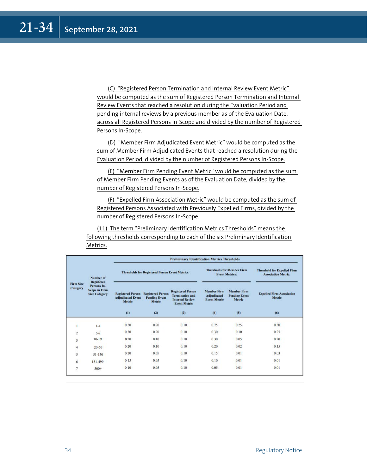(C) "Registered Person Termination and Internal Review Event Metric" would be computed as the sum of Registered Person Termination and Internal Review Events that reached a resolution during the Evaluation Period and pending internal reviews by a previous member as of the Evaluation Date, across all Registered Persons In-Scope and divided by the number of Registered Persons In-Scope.

(D) "Member Firm Adjudicated Event Metric" would be computed as the sum of Member Firm Adjudicated Events that reached a resolution during the Evaluation Period, divided by the number of Registered Persons In-Scope.

(E) "Member Firm Pending Event Metric" would be computed as the sum of Member Firm Pending Events as of the Evaluation Date, divided by the number of Registered Persons In-Scope.

(F) "Expelled Firm Association Metric" would be computed as the sum of Registered Persons Associated with Previously Expelled Firms, divided by the number of Registered Persons In-Scope.

(11) The term "Preliminary Identification Metrics Thresholds" means the following thresholds corresponding to each of the six Preliminary Identification Metrics.

| <b>Firm Size</b><br><b>Category</b> | Number of<br><b>Registered</b><br>Persons In-<br><b>Scope in Firm</b><br><b>Size Category</b> | <b>Preliminary Identification Metrics Thresholds</b>                  |                                                                   |                                                                                                            |                                                                        |                                                                  |                                                   |
|-------------------------------------|-----------------------------------------------------------------------------------------------|-----------------------------------------------------------------------|-------------------------------------------------------------------|------------------------------------------------------------------------------------------------------------|------------------------------------------------------------------------|------------------------------------------------------------------|---------------------------------------------------|
|                                     |                                                                                               | <b>Thresholds for Registered Person Event Metrics:</b>                |                                                                   | <b>Thresholds for Member Firm</b><br><b>Event Metrics:</b>                                                 |                                                                        | <b>Threshold for Expelled Firm</b><br><b>Association Metric:</b> |                                                   |
|                                     |                                                                                               | <b>Registered Person</b><br><b>Adjudicated Event</b><br>Metric<br>(1) | <b>Registered Person</b><br><b>Pending Event</b><br>Metric<br>(2) | <b>Registered Person</b><br><b>Termination and</b><br><b>Internal Review</b><br><b>Event Metric</b><br>(3) | <b>Member Firm</b><br><b>Adjudicated</b><br><b>Event Metric</b><br>(4) | <b>Member Firm</b><br><b>Pending Event</b><br>Metric<br>(5)      | <b>Expelled Firm Association</b><br>Metric<br>(6) |
|                                     |                                                                                               |                                                                       |                                                                   |                                                                                                            |                                                                        |                                                                  |                                                   |
| $\overline{2}$                      | $5 - 9$                                                                                       | 0.30                                                                  | 0.20                                                              | 0.10                                                                                                       | 0.30                                                                   | 0.10                                                             | 0.25                                              |
|                                     | $10-19$                                                                                       | 0.20                                                                  | 0.10                                                              | 0.10                                                                                                       | 0.30                                                                   | 0.05                                                             | 0.20                                              |
| 4                                   | $20 - 50$                                                                                     | 0.20                                                                  | 0.10                                                              | 0.10                                                                                                       | 0.20                                                                   | 0.02                                                             | 0.15                                              |
| 5                                   | $51 - 150$                                                                                    | 0.20                                                                  | 0.05                                                              | 0.10                                                                                                       | 0.15                                                                   | 0.01                                                             | 0.03                                              |
| 6                                   | 151-499                                                                                       | 0.15                                                                  | 0.05                                                              | 0.10                                                                                                       | 0.10                                                                   | 0.01                                                             | 0.01                                              |
| 7                                   | $500+$                                                                                        | 0.10                                                                  | 0.05                                                              | 0.10                                                                                                       | 0.05                                                                   | 0.01                                                             | 0.01                                              |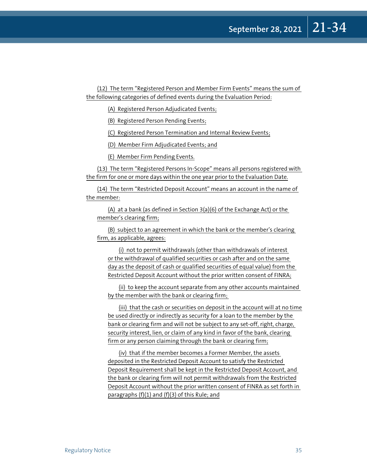(12) The term "Registered Person and Member Firm Events" means the sum of the following categories of defined events during the Evaluation Period:

(A) Registered Person Adjudicated Events;

(B) Registered Person Pending Events;

(C) Registered Person Termination and Internal Review Events;

(D) Member Firm Adjudicated Events; and

(E) Member Firm Pending Events.

(13) The term "Registered Persons In-Scope" means all persons registered with the firm for one or more days within the one year prior to the Evaluation Date.

(14) The term "Restricted Deposit Account" means an account in the name of the member:

(A) at a bank (as defined in Section 3(a)(6) of the Exchange Act) or the member's clearing firm;

(B) subject to an agreement in which the bank or the member's clearing firm, as applicable, agrees:

(i) not to permit withdrawals (other than withdrawals of interest or the withdrawal of qualified securities or cash after and on the same day as the deposit of cash or qualified securities of equal value) from the Restricted Deposit Account without the prior written consent of FINRA;

(ii) to keep the account separate from any other accounts maintained by the member with the bank or clearing firm;

(iii) that the cash or securities on deposit in the account will at no time be used directly or indirectly as security for a loan to the member by the bank or clearing firm and will not be subject to any set-off, right, charge, security interest, lien, or claim of any kind in favor of the bank, clearing firm or any person claiming through the bank or clearing firm;

(iv) that if the member becomes a Former Member, the assets deposited in the Restricted Deposit Account to satisfy the Restricted Deposit Requirement shall be kept in the Restricted Deposit Account, and the bank or clearing firm will not permit withdrawals from the Restricted Deposit Account without the prior written consent of FINRA as set forth in paragraphs (f)(1) and (f)(3) of this Rule; and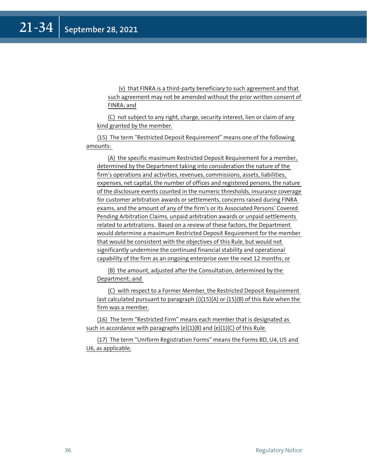(v) that FINRA is a third-party beneficiary to such agreement and that such agreement may not be amended without the prior written consent of FINRA; and

(C) not subject to any right, charge, security interest, lien or claim of any kind granted by the member.

(15) The term "Restricted Deposit Requirement" means one of the following amounts:

(A) the specific maximum Restricted Deposit Requirement for a member, determined by the Department taking into consideration the nature of the firm's operations and activities, revenues, commissions, assets, liabilities, expenses, net capital, the number of offices and registered persons, the nature of the disclosure events counted in the numeric thresholds, insurance coverage for customer arbitration awards or settlements, concerns raised during FINRA exams, and the amount of any of the firm's or its Associated Persons' Covered Pending Arbitration Claims, unpaid arbitration awards or unpaid settlements related to arbitrations. Based on a review of these factors, the Department would determine a maximum Restricted Deposit Requirement for the member that would be consistent with the objectives of this Rule, but would not significantly undermine the continued financial stability and operational capability of the firm as an ongoing enterprise over the next 12 months; or

(B) the amount, adjusted after the Consultation, determined by the Department; and

(C) with respect to a Former Member, the Restricted Deposit Requirement last calculated pursuant to paragraph (i)(15)(A) or (15)(B) of this Rule when the firm was a member.

(16) The term "Restricted Firm" means each member that is designated as such in accordance with paragraphs  $(e)(1)(B)$  and  $(e)(1)(C)$  of this Rule.

(17) The term "Uniform Registration Forms" means the Forms BD, U4, U5 and U6, as applicable.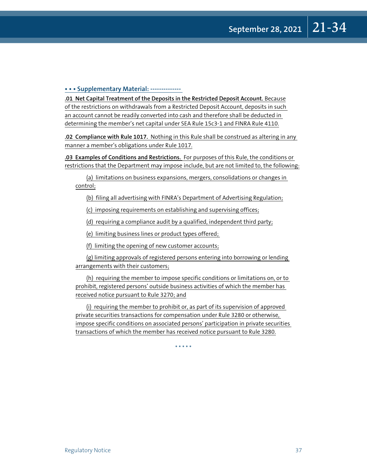## **• • • Supplementary Material: --------------**

**.01 Net Capital Treatment of the Deposits in the Restricted Deposit Account.** Because of the restrictions on withdrawals from a Restricted Deposit Account, deposits in such an account cannot be readily converted into cash and therefore shall be deducted in determining the member's net capital under SEA Rule 15c3-1 and FINRA Rule 4110.

**.02 Compliance with Rule 1017.** Nothing in this Rule shall be construed as altering in any manner a member's obligations under Rule 1017.

**.03 Examples of Conditions and Restrictions.** For purposes of this Rule, the conditions or restrictions that the Department may impose include, but are not limited to, the following:

(a) limitations on business expansions, mergers, consolidations or changes in control;

(b) filing all advertising with FINRA's Department of Advertising Regulation;

(c) imposing requirements on establishing and supervising offices;

(d) requiring a compliance audit by a qualified, independent third party;

(e) limiting business lines or product types offered;

(f) limiting the opening of new customer accounts;

(g) limiting approvals of registered persons entering into borrowing or lending arrangements with their customers;

(h) requiring the member to impose specific conditions or limitations on, or to prohibit, registered persons' outside business activities of which the member has received notice pursuant to Rule 3270; and

(i) requiring the member to prohibit or, as part of its supervision of approved private securities transactions for compensation under Rule 3280 or otherwise, impose specific conditions on associated persons' participation in private securities transactions of which the member has received notice pursuant to Rule 3280.

\* \* \* \* \*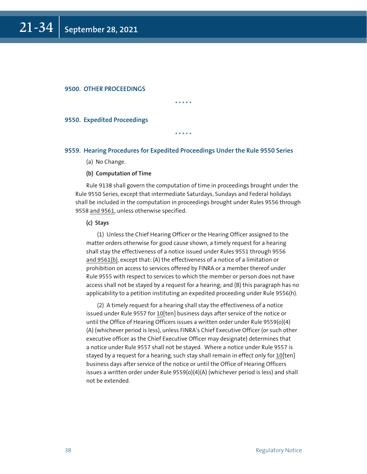## **9500. OTHER PROCEEDINGS**

\* \* \* \* \*

\* \* \* \* \*

#### **9550. Expedited Proceedings**

## **9559. Hearing Procedures for Expedited Proceedings Under the Rule 9550 Series**

(a) No Change.

#### **(b) Computation of Time**

Rule 9138 shall govern the computation of time in proceedings brought under the Rule 9550 Series, except that intermediate Saturdays, Sundays and Federal holidays shall be included in the computation in proceedings brought under Rules 9556 through 9558 and 9561, unless otherwise specified.

#### **(c) Stays**

(1) Unless the Chief Hearing Officer or the Hearing Officer assigned to the matter orders otherwise for good cause shown, a timely request for a hearing shall stay the effectiveness of a notice issued under Rules 9551 through 9556 and 9561(b), except that: (A) the effectiveness of a notice of a limitation or prohibition on access to services offered by FINRA or a member thereof under Rule 9555 with respect to services to which the member or person does not have access shall not be stayed by a request for a hearing; and (B) this paragraph has no applicability to a petition instituting an expedited proceeding under Rule 9556(h).

(2) A timely request for a hearing shall stay the effectiveness of a notice issued under Rule 9557 for 10[ten] business days after service of the notice or until the Office of Hearing Officers issues a written order under Rule 9559(o)(4) (A) (whichever period is less), unless FINRA's Chief Executive Officer (or such other executive officer as the Chief Executive Officer may designate) determines that a notice under Rule 9557 shall not be stayed. Where a notice under Rule 9557 is stayed by a request for a hearing, such stay shall remain in effect only for 10[ten] business days after service of the notice or until the Office of Hearing Officers issues a written order under Rule 9559(o)(4)(A) (whichever period is less) and shall not be extended.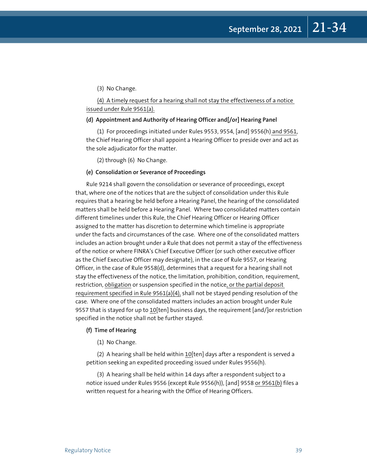(3) No Change.

(4) A timely request for a hearing shall not stay the effectiveness of a notice issued under Rule 9561(a).

## **(d) Appointment and Authority of Hearing Officer and[/or] Hearing Panel**

(1) For proceedings initiated under Rules 9553, 9554, [and] 9556(h) and 9561, the Chief Hearing Officer shall appoint a Hearing Officer to preside over and act as the sole adjudicator for the matter.

(2) through (6) No Change.

#### **(e) Consolidation or Severance of Proceedings**

Rule 9214 shall govern the consolidation or severance of proceedings, except that, where one of the notices that are the subject of consolidation under this Rule requires that a hearing be held before a Hearing Panel, the hearing of the consolidated matters shall be held before a Hearing Panel. Where two consolidated matters contain different timelines under this Rule, the Chief Hearing Officer or Hearing Officer assigned to the matter has discretion to determine which timeline is appropriate under the facts and circumstances of the case. Where one of the consolidated matters includes an action brought under a Rule that does not permit a stay of the effectiveness of the notice or where FINRA's Chief Executive Officer (or such other executive officer as the Chief Executive Officer may designate), in the case of Rule 9557, or Hearing Officer, in the case of Rule 9558(d), determines that a request for a hearing shall not stay the effectiveness of the notice, the limitation, prohibition, condition, requirement, restriction, obligation or suspension specified in the notice, or the partial deposit requirement specified in Rule 9561(a)(4), shall not be stayed pending resolution of the case. Where one of the consolidated matters includes an action brought under Rule 9557 that is stayed for up to 10[ten] business days, the requirement [and/]or restriction specified in the notice shall not be further stayed.

#### **(f) Time of Hearing**

(1) No Change.

(2) A hearing shall be held within 10[ten] days after a respondent is served a petition seeking an expedited proceeding issued under Rules 9556(h).

(3) A hearing shall be held within 14 days after a respondent subject to a notice issued under Rules 9556 (except Rule 9556(h)), [and] 9558 or 9561(b) files a written request for a hearing with the Office of Hearing Officers.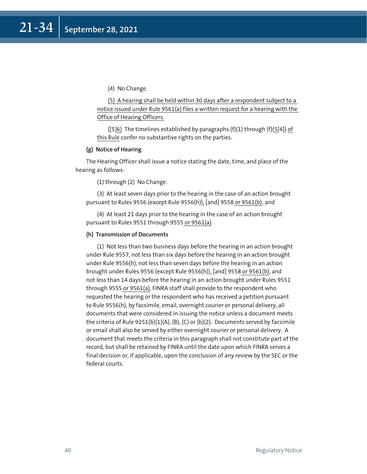(4) No Change.

(5) A hearing shall be held within 30 days after a respondent subject to a notice issued under Rule 9561(a) files a written request for a hearing with the Office of Hearing Officers.

([5]6) The timelines established by paragraphs  $(f)(1)$  through  $(f)(5[4])$  of this Rule confer no substantive rights on the parties.

## **(g) Notice of Hearing**

The Hearing Officer shall issue a notice stating the date, time, and place of the hearing as follows:

(1) through (2) No Change.

(3) At least seven days prior to the hearing in the case of an action brought pursuant to Rules 9556 (except Rule 9556(h)), [and] 9558 or 9561(b); and

(4) At least 21 days prior to the hearing in the case of an action brought pursuant to Rules 9551 through 9555 or 9561(a).

## **(h) Transmission of Documents**

(1) Not less than two business days before the hearing in an action brought under Rule 9557, not less than six days before the hearing in an action brought under Rule 9556(h), not less than seven days before the hearing in an action brought under Rules 9556 (except Rule 9556(h)), [and] 9558 or 9561(b), and not less than 14 days before the hearing in an action brought under Rules 9551 through 9555 or 9561(a), FINRA staff shall provide to the respondent who requested the hearing or the respondent who has received a petition pursuant to Rule 9556(h), by facsimile, email, overnight courier or personal delivery, all documents that were considered in issuing the notice unless a document meets the criteria of Rule  $9251(b)(1)(A)$ , (B), (C) or (b)(2). Documents served by facsimile or email shall also be served by either overnight courier or personal delivery. A document that meets the criteria in this paragraph shall not constitute part of the record, but shall be retained by FINRA until the date upon which FINRA serves a final decision or, if applicable, upon the conclusion of any review by the SEC or the federal courts.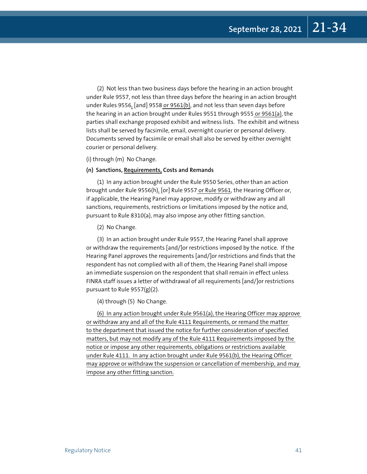(2) Not less than two business days before the hearing in an action brought under Rule 9557, not less than three days before the hearing in an action brought under Rules 9556, [and] 9558 or 9561(b), and not less than seven days before the hearing in an action brought under Rules 9551 through 9555 or 9561(a), the parties shall exchange proposed exhibit and witness lists. The exhibit and witness lists shall be served by facsimile, email, overnight courier or personal delivery. Documents served by facsimile or email shall also be served by either overnight courier or personal delivery.

(i) through (m) No Change.

#### **(n) Sanctions, Requirements, Costs and Remands**

(1) In any action brought under the Rule 9550 Series, other than an action brought under Rule 9556(h), [or] Rule 9557 or Rule 9561, the Hearing Officer or, if applicable, the Hearing Panel may approve, modify or withdraw any and all sanctions, requirements, restrictions or limitations imposed by the notice and, pursuant to Rule 8310(a), may also impose any other fitting sanction.

(2) No Change.

(3) In an action brought under Rule 9557, the Hearing Panel shall approve or withdraw the requirements [and/]or restrictions imposed by the notice. If the Hearing Panel approves the requirements [and/]or restrictions and finds that the respondent has not complied with all of them, the Hearing Panel shall impose an immediate suspension on the respondent that shall remain in effect unless FINRA staff issues a letter of withdrawal of all requirements [and/]or restrictions pursuant to Rule 9557(g)(2).

(4) through (5) No Change.

(6) In any action brought under Rule 9561(a), the Hearing Officer may approve or withdraw any and all of the Rule 4111 Requirements, or remand the matter to the department that issued the notice for further consideration of specified matters, but may not modify any of the Rule 4111 Requirements imposed by the notice or impose any other requirements, obligations or restrictions available under Rule 4111. In any action brought under Rule 9561(b), the Hearing Officer may approve or withdraw the suspension or cancellation of membership, and may impose any other fitting sanction.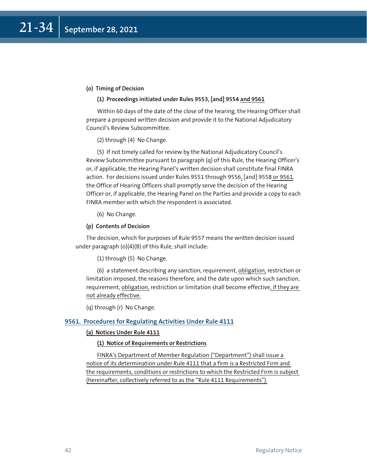## **(o) Timing of Decision**

## **(1) Proceedings initiated under Rules 9553, [and] 9554 and 9561**

Within 60 days of the date of the close of the hearing, the Hearing Officer shall prepare a proposed written decision and provide it to the National Adjudicatory Council's Review Subcommittee.

(2) through (4) No Change.

(5) If not timely called for review by the National Adjudicatory Council's Review Subcommittee pursuant to paragraph (q) of this Rule, the Hearing Officer's or, if applicable, the Hearing Panel's written decision shall constitute final FINRA action. For decisions issued under Rules 9551 through 9556, [and] 9558 or 9561, the Office of Hearing Officers shall promptly serve the decision of the Hearing Officer or, if applicable, the Hearing Panel on the Parties and provide a copy to each FINRA member with which the respondent is associated.

(6) No Change.

#### **(p) Contents of Decision**

The decision, which for purposes of Rule 9557 means the written decision issued under paragraph (o)(4)(B) of this Rule, shall include:

(1) through (5) No Change.

(6) a statement describing any sanction, requirement, obligation, restriction or limitation imposed, the reasons therefore, and the date upon which such sanction, requirement, obligation, restriction or limitation shall become effective, if they are not already effective.

(q) through (r) No Change.

## **9561. Procedures for Regulating Activities Under Rule 4111**

## **(a) Notices Under Rule 4111**

#### **(1) Notice of Requirements or Restrictions**

FINRA's Department of Member Regulation ("Department") shall issue a notice of its determination under Rule 4111 that a firm is a Restricted Firm and the requirements, conditions or restrictions to which the Restricted Firm is subject (hereinafter, collectively referred to as the "Rule 4111 Requirements").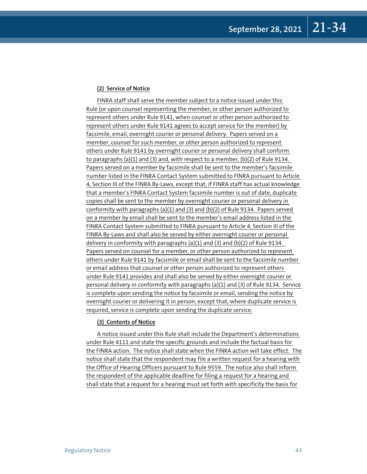## **(2) Service of Notice**

FINRA staff shall serve the member subject to a notice issued under this Rule (or upon counsel representing the member, or other person authorized to represent others under Rule 9141, when counsel or other person authorized to represent others under Rule 9141 agrees to accept service for the member) by facsimile, email, overnight courier or personal delivery. Papers served on a member, counsel for such member, or other person authorized to represent others under Rule 9141 by overnight courier or personal delivery shall conform to paragraphs (a)(1) and (3) and, with respect to a member, (b)(2) of Rule 9134. Papers served on a member by facsimile shall be sent to the member's facsimile number listed in the FINRA Contact System submitted to FINRA pursuant to Article 4, Section III of the FINRA By-Laws, except that, if FINRA staff has actual knowledge that a member's FINRA Contact System facsimile number is out of date, duplicate copies shall be sent to the member by overnight courier or personal delivery in conformity with paragraphs (a)(1) and (3) and (b)(2) of Rule 9134. Papers served on a member by email shall be sent to the member's email address listed in the FINRA Contact System submitted to FINRA pursuant to Article 4, Section III of the FINRA By-Laws and shall also be served by either overnight courier or personal delivery in conformity with paragraphs (a)(1) and (3) and (b)(2) of Rule 9134. Papers served on counsel for a member, or other person authorized to represent others under Rule 9141 by facsimile or email shall be sent to the facsimile number or email address that counsel or other person authorized to represent others under Rule 9141 provides and shall also be served by either overnight courier or personal delivery in conformity with paragraphs (a)(1) and (3) of Rule 9134. Service is complete upon sending the notice by facsimile or email, sending the notice by overnight courier or delivering it in person, except that, where duplicate service is required, service is complete upon sending the duplicate service.

## **(3) Contents of Notice**

A notice issued under this Rule shall include the Department's determinations under Rule 4111 and state the specific grounds and include the factual basis for the FINRA action. The notice shall state when the FINRA action will take effect. The notice shall state that the respondent may file a written request for a hearing with the Office of Hearing Officers pursuant to Rule 9559. The notice also shall inform the respondent of the applicable deadline for filing a request for a hearing and shall state that a request for a hearing must set forth with specificity the basis for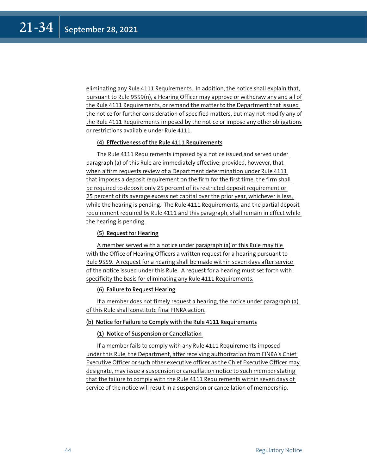eliminating any Rule 4111 Requirements. In addition, the notice shall explain that, pursuant to Rule 9559(n), a Hearing Officer may approve or withdraw any and all of the Rule 4111 Requirements, or remand the matter to the Department that issued the notice for further consideration of specified matters, but may not modify any of the Rule 4111 Requirements imposed by the notice or impose any other obligations or restrictions available under Rule 4111.

## **(4) Effectiveness of the Rule 4111 Requirements**

The Rule 4111 Requirements imposed by a notice issued and served under paragraph (a) of this Rule are immediately effective; provided, however, that when a firm requests review of a Department determination under Rule 4111 that imposes a deposit requirement on the firm for the first time, the firm shall be required to deposit only 25 percent of its restricted deposit requirement or 25 percent of its average excess net capital over the prior year, whichever is less, while the hearing is pending. The Rule 4111 Requirements, and the partial deposit requirement required by Rule 4111 and this paragraph, shall remain in effect while the hearing is pending.

## **(5) Request for Hearing**

A member served with a notice under paragraph (a) of this Rule may file with the Office of Hearing Officers a written request for a hearing pursuant to Rule 9559. A request for a hearing shall be made within seven days after service of the notice issued under this Rule. A request for a hearing must set forth with specificity the basis for eliminating any Rule 4111 Requirements.

## **(6) Failure to Request Hearing**

If a member does not timely request a hearing, the notice under paragraph (a) of this Rule shall constitute final FINRA action.

## **(b) Notice for Failure to Comply with the Rule 4111 Requirements**

## **(1) Notice of Suspension or Cancellation**

If a member fails to comply with any Rule 4111 Requirements imposed under this Rule, the Department, after receiving authorization from FINRA's Chief Executive Officer or such other executive officer as the Chief Executive Officer may designate, may issue a suspension or cancellation notice to such member stating that the failure to comply with the Rule 4111 Requirements within seven days of service of the notice will result in a suspension or cancellation of membership.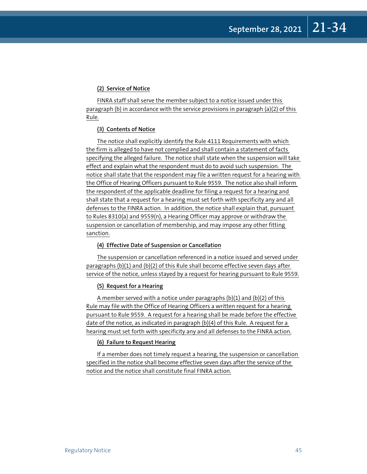## **(2) Service of Notice**

FINRA staff shall serve the member subject to a notice issued under this paragraph (b) in accordance with the service provisions in paragraph (a)(2) of this Rule.

## **(3) Contents of Notice**

The notice shall explicitly identify the Rule 4111 Requirements with which the firm is alleged to have not complied and shall contain a statement of facts specifying the alleged failure. The notice shall state when the suspension will take effect and explain what the respondent must do to avoid such suspension. The notice shall state that the respondent may file a written request for a hearing with the Office of Hearing Officers pursuant to Rule 9559. The notice also shall inform the respondent of the applicable deadline for filing a request for a hearing and shall state that a request for a hearing must set forth with specificity any and all defenses to the FINRA action. In addition, the notice shall explain that, pursuant to Rules 8310(a) and 9559(n), a Hearing Officer may approve or withdraw the suspension or cancellation of membership, and may impose any other fitting sanction.

## **(4) Effective Date of Suspension or Cancellation**

The suspension or cancellation referenced in a notice issued and served under paragraphs (b)(1) and (b)(2) of this Rule shall become effective seven days after service of the notice, unless stayed by a request for hearing pursuant to Rule 9559.

### **(5) Request for a Hearing**

A member served with a notice under paragraphs (b)(1) and (b)(2) of this Rule may file with the Office of Hearing Officers a written request for a hearing pursuant to Rule 9559. A request for a hearing shall be made before the effective date of the notice, as indicated in paragraph (b)(4) of this Rule. A request for a hearing must set forth with specificity any and all defenses to the FINRA action.

## **(6) Failure to Request Hearing**

If a member does not timely request a hearing, the suspension or cancellation specified in the notice shall become effective seven days after the service of the notice and the notice shall constitute final FINRA action.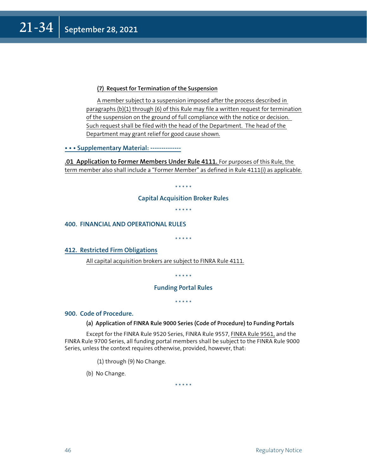## **(7) Request for Termination of the Suspension**

A member subject to a suspension imposed after the process described in paragraphs (b)(1) through (6) of this Rule may file a written request for termination of the suspension on the ground of full compliance with the notice or decision. Such request shall be filed with the head of the Department. The head of the Department may grant relief for good cause shown.

**• • • Supplementary Material: --------------**

**.01 Application to Former Members Under Rule 4111.** For purposes of this Rule, the term member also shall include a "Former Member" as defined in Rule 4111(i) as applicable.

\* \* \* \* \*

## **Capital Acquisition Broker Rules**

\* \* \* \* \*

**400. FINANCIAL AND OPERATIONAL RULES**

\* \* \* \* \*

**412. Restricted Firm Obligations**

All capital acquisition brokers are subject to FINRA Rule 4111.

\* \* \* \* \*

## **Funding Portal Rules**

\* \* \* \* \*

## **900. Code of Procedure.**

## **(a) Application of FINRA Rule 9000 Series (Code of Procedure) to Funding Portals**

Except for the FINRA Rule 9520 Series, FINRA Rule 9557, FINRA Rule 9561, and the FINRA Rule 9700 Series, all funding portal members shall be subject to the FINRA Rule 9000 Series, unless the context requires otherwise, provided, however, that:

(1) through (9) No Change.

(b) No Change.

\* \* \* \* \*